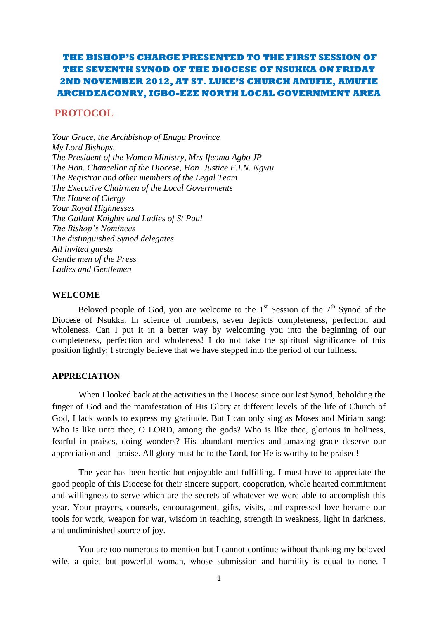## **THE BISHOP'S CHARGE PRESENTED TO THE FIRST SESSION OF THE SEVENTH SYNOD OF THE DIOCESE OF NSUKKA ON FRIDAY 2ND NOVEMBER 2012, AT ST. LUKE'S CHURCH AMUFIE, AMUFIE ARCHDEACONRY, IGBO-EZE NORTH LOCAL GOVERNMENT AREA**

### **PROTOCOL**

*Your Grace, the Archbishop of Enugu Province My Lord Bishops, The President of the Women Ministry, Mrs Ifeoma Agbo JP The Hon. Chancellor of the Diocese, Hon. Justice F.I.N. Ngwu The Registrar and other members of the Legal Team The Executive Chairmen of the Local Governments The House of Clergy Your Royal Highnesses The Gallant Knights and Ladies of St Paul The Bishop's Nominees The distinguished Synod delegates All invited guests Gentle men of the Press Ladies and Gentlemen*

#### **WELCOME**

Beloved people of God, you are welcome to the  $1<sup>st</sup>$  Session of the  $7<sup>th</sup>$  Synod of the Diocese of Nsukka. In science of numbers, seven depicts completeness, perfection and wholeness. Can I put it in a better way by welcoming you into the beginning of our completeness, perfection and wholeness! I do not take the spiritual significance of this position lightly; I strongly believe that we have stepped into the period of our fullness.

#### **APPRECIATION**

When I looked back at the activities in the Diocese since our last Synod, beholding the finger of God and the manifestation of His Glory at different levels of the life of Church of God, I lack words to express my gratitude. But I can only sing as Moses and Miriam sang: Who is like unto thee, O LORD, among the gods? Who is like thee, glorious in holiness, fearful in praises, doing wonders? His abundant mercies and amazing grace deserve our appreciation and praise. All glory must be to the Lord, for He is worthy to be praised!

The year has been hectic but enjoyable and fulfilling. I must have to appreciate the good people of this Diocese for their sincere support, cooperation, whole hearted commitment and willingness to serve which are the secrets of whatever we were able to accomplish this year. Your prayers, counsels, encouragement, gifts, visits, and expressed love became our tools for work, weapon for war, wisdom in teaching, strength in weakness, light in darkness, and undiminished source of joy.

You are too numerous to mention but I cannot continue without thanking my beloved wife, a quiet but powerful woman, whose submission and humility is equal to none. I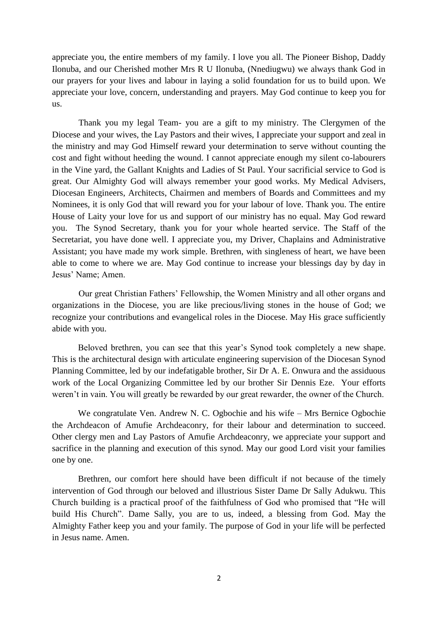appreciate you, the entire members of my family. I love you all. The Pioneer Bishop, Daddy Ilonuba, and our Cherished mother Mrs R U Ilonuba, (Nnediugwu) we always thank God in our prayers for your lives and labour in laying a solid foundation for us to build upon. We appreciate your love, concern, understanding and prayers. May God continue to keep you for us.

Thank you my legal Team- you are a gift to my ministry. The Clergymen of the Diocese and your wives, the Lay Pastors and their wives, I appreciate your support and zeal in the ministry and may God Himself reward your determination to serve without counting the cost and fight without heeding the wound. I cannot appreciate enough my silent co-labourers in the Vine yard, the Gallant Knights and Ladies of St Paul. Your sacrificial service to God is great. Our Almighty God will always remember your good works. My Medical Advisers, Diocesan Engineers, Architects, Chairmen and members of Boards and Committees and my Nominees, it is only God that will reward you for your labour of love. Thank you. The entire House of Laity your love for us and support of our ministry has no equal. May God reward you. The Synod Secretary, thank you for your whole hearted service. The Staff of the Secretariat, you have done well. I appreciate you, my Driver, Chaplains and Administrative Assistant; you have made my work simple. Brethren, with singleness of heart, we have been able to come to where we are. May God continue to increase your blessings day by day in Jesus" Name; Amen.

Our great Christian Fathers" Fellowship, the Women Ministry and all other organs and organizations in the Diocese, you are like precious/living stones in the house of God; we recognize your contributions and evangelical roles in the Diocese. May His grace sufficiently abide with you.

Beloved brethren, you can see that this year"s Synod took completely a new shape. This is the architectural design with articulate engineering supervision of the Diocesan Synod Planning Committee, led by our indefatigable brother, Sir Dr A. E. Onwura and the assiduous work of the Local Organizing Committee led by our brother Sir Dennis Eze. Your efforts weren't in vain. You will greatly be rewarded by our great rewarder, the owner of the Church.

We congratulate Ven. Andrew N. C. Ogbochie and his wife – Mrs Bernice Ogbochie the Archdeacon of Amufie Archdeaconry, for their labour and determination to succeed. Other clergy men and Lay Pastors of Amufie Archdeaconry, we appreciate your support and sacrifice in the planning and execution of this synod. May our good Lord visit your families one by one.

Brethren, our comfort here should have been difficult if not because of the timely intervention of God through our beloved and illustrious Sister Dame Dr Sally Adukwu. This Church building is a practical proof of the faithfulness of God who promised that "He will build His Church". Dame Sally, you are to us, indeed, a blessing from God. May the Almighty Father keep you and your family. The purpose of God in your life will be perfected in Jesus name. Amen.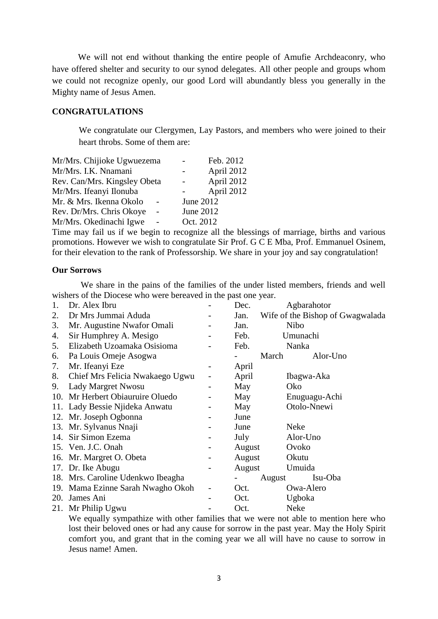We will not end without thanking the entire people of Amufie Archdeaconry, who have offered shelter and security to our synod delegates. All other people and groups whom we could not recognize openly, our good Lord will abundantly bless you generally in the Mighty name of Jesus Amen.

## **CONGRATULATIONS**

We congratulate our Clergymen, Lay Pastors, and members who were joined to their heart throbs. Some of them are:

| Mr/Mrs. Chijioke Ugwuezema         | Feb. 2012  |
|------------------------------------|------------|
| Mr/Mrs. I.K. Nnamani               | April 2012 |
| Rev. Can/Mrs. Kingsley Obeta       | April 2012 |
| Mr/Mrs. Ifeanyi Ilonuba            | April 2012 |
| Mr. & Mrs. Ikenna Okolo            | June 2012  |
| Rev. Dr/Mrs. Chris Okoye<br>$\sim$ | June 2012  |
| Mr/Mrs. Okedinachi Igwe            | Oct. 2012  |

Time may fail us if we begin to recognize all the blessings of marriage, births and various promotions. However we wish to congratulate Sir Prof. G C E Mba, Prof. Emmanuel Osinem, for their elevation to the rank of Professorship. We share in your joy and say congratulation!

#### **Our Sorrows**

 We share in the pains of the families of the under listed members, friends and well wishers of the Diocese who were bereaved in the past one year.

| 1. | Dr. Alex Ibru                     | Dec.   | Agbarahotor                      |
|----|-----------------------------------|--------|----------------------------------|
| 2. | Dr Mrs Jummai Aduda               | Jan.   | Wife of the Bishop of Gwagwalada |
| 3. | Mr. Augustine Nwafor Omali        | Jan.   | <b>Nibo</b>                      |
| 4. | Sir Humphrey A. Mesigo            | Feb.   | Umunachi                         |
| 5. | Elizabeth Uzoamaka Osisioma       | Feb.   | Nanka                            |
| 6. | Pa Louis Omeje Asogwa             | March  | Alor-Uno                         |
| 7. | Mr. Ifeanyi Eze                   | April  |                                  |
| 8. | Chief Mrs Felicia Nwakaego Ugwu   | April  | Ibagwa-Aka                       |
| 9. | Lady Margret Nwosu                | May    | Oko                              |
|    | 10. Mr Herbert Obiauruire Oluedo  | May    | Enuguagu-Achi                    |
|    | 11. Lady Bessie Njideka Anwatu    | May    | Otolo-Nnewi                      |
|    | 12. Mr. Joseph Ogbonna            | June   |                                  |
|    | 13. Mr. Sylvanus Nnaji            | June   | <b>Neke</b>                      |
|    | 14. Sir Simon Ezema               | July   | Alor-Uno                         |
|    | 15. Ven. J.C. Onah                | August | Ovoko                            |
|    | 16. Mr. Margret O. Obeta          | August | Okutu                            |
|    | 17. Dr. Ike Abugu                 | August | Umuida                           |
|    | 18. Mrs. Caroline Udenkwo Ibeagha | August | Isu-Oba                          |
|    | 19. Mama Ezinne Sarah Nwagho Okoh | Oct.   | Owa-Alero                        |
|    | 20. James Ani                     | Oct.   | Ugboka                           |
|    | 21. Mr Philip Ugwu                | Oct.   | Neke                             |

We equally sympathize with other families that we were not able to mention here who lost their beloved ones or had any cause for sorrow in the past year. May the Holy Spirit comfort you, and grant that in the coming year we all will have no cause to sorrow in Jesus name! Amen.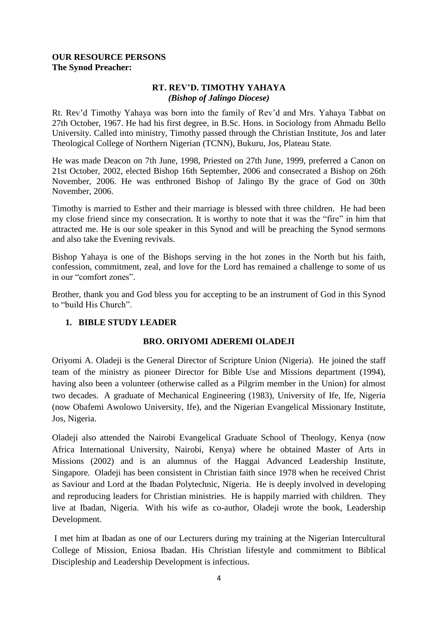## **OUR RESOURCE PERSONS The Synod Preacher:**

## **RT. REV'D. TIMOTHY YAHAYA** *(Bishop of Jalingo Diocese)*

Rt. Rev"d Timothy Yahaya was born into the family of Rev"d and Mrs. Yahaya Tabbat on 27th October, 1967. He had his first degree, in B.Sc. Hons. in Sociology from Ahmadu Bello University. Called into ministry, Timothy passed through the Christian Institute, Jos and later Theological College of Northern Nigerian (TCNN), Bukuru, Jos, Plateau State.

He was made Deacon on 7th June, 1998, Priested on 27th June, 1999, preferred a Canon on 21st October, 2002, elected Bishop 16th September, 2006 and consecrated a Bishop on 26th November, 2006. He was enthroned Bishop of Jalingo By the grace of God on 30th November, 2006.

Timothy is married to Esther and their marriage is blessed with three children. He had been my close friend since my consecration. It is worthy to note that it was the "fire" in him that attracted me. He is our sole speaker in this Synod and will be preaching the Synod sermons and also take the Evening revivals.

Bishop Yahaya is one of the Bishops serving in the hot zones in the North but his faith, confession, commitment, zeal, and love for the Lord has remained a challenge to some of us in our "comfort zones".

Brother, thank you and God bless you for accepting to be an instrument of God in this Synod to "build His Church".

## **1. BIBLE STUDY LEADER**

## **BRO. ORIYOMI ADEREMI OLADEJI**

Oriyomi A. Oladeji is the General Director of Scripture Union (Nigeria). He joined the staff team of the ministry as pioneer Director for Bible Use and Missions department (1994), having also been a volunteer (otherwise called as a Pilgrim member in the Union) for almost two decades. A graduate of Mechanical Engineering (1983), University of Ife, Ife, Nigeria (now Obafemi Awolowo University, Ife), and the Nigerian Evangelical Missionary Institute, Jos, Nigeria.

Oladeji also attended the Nairobi Evangelical Graduate School of Theology, Kenya (now Africa International University, Nairobi, Kenya) where he obtained Master of Arts in Missions (2002) and is an alumnus of the Haggai Advanced Leadership Institute, Singapore. Oladeji has been consistent in Christian faith since 1978 when he received Christ as Saviour and Lord at the Ibadan Polytechnic, Nigeria. He is deeply involved in developing and reproducing leaders for Christian ministries. He is happily married with children. They live at Ibadan, Nigeria. With his wife as co-author, Oladeji wrote the book, Leadership Development.

I met him at Ibadan as one of our Lecturers during my training at the Nigerian Intercultural College of Mission, Eniosa Ibadan. His Christian lifestyle and commitment to Biblical Discipleship and Leadership Development is infectious.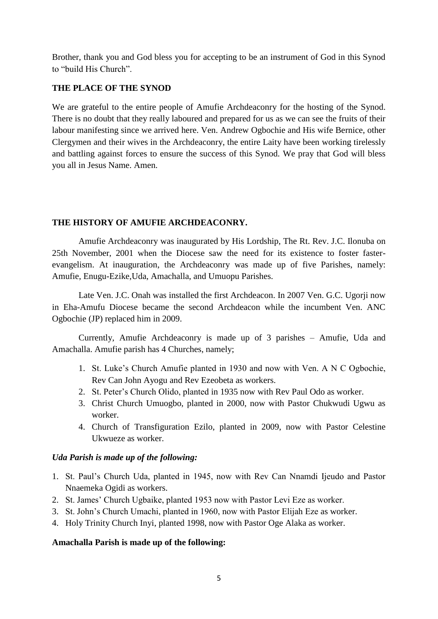Brother, thank you and God bless you for accepting to be an instrument of God in this Synod to "build His Church".

## **THE PLACE OF THE SYNOD**

We are grateful to the entire people of Amufie Archdeaconry for the hosting of the Synod. There is no doubt that they really laboured and prepared for us as we can see the fruits of their labour manifesting since we arrived here. Ven. Andrew Ogbochie and His wife Bernice, other Clergymen and their wives in the Archdeaconry, the entire Laity have been working tirelessly and battling against forces to ensure the success of this Synod. We pray that God will bless you all in Jesus Name. Amen.

## **THE HISTORY OF AMUFIE ARCHDEACONRY.**

Amufie Archdeaconry was inaugurated by His Lordship, The Rt. Rev. J.C. Ilonuba on 25th November, 2001 when the Diocese saw the need for its existence to foster fasterevangelism. At inauguration, the Archdeaconry was made up of five Parishes, namely: Amufie, Enugu-Ezike,Uda, Amachalla, and Umuopu Parishes.

Late Ven. J.C. Onah was installed the first Archdeacon. In 2007 Ven. G.C. Ugorii now in Eha-Amufu Diocese became the second Archdeacon while the incumbent Ven. ANC Ogbochie (JP) replaced him in 2009.

Currently, Amufie Archdeaconry is made up of 3 parishes – Amufie, Uda and Amachalla. Amufie parish has 4 Churches, namely;

- 1. St. Luke"s Church Amufie planted in 1930 and now with Ven. A N C Ogbochie, Rev Can John Ayogu and Rev Ezeobeta as workers.
- 2. St. Peter"s Church Olido, planted in 1935 now with Rev Paul Odo as worker.
- 3. Christ Church Umuogbo, planted in 2000, now with Pastor Chukwudi Ugwu as worker.
- 4. Church of Transfiguration Ezilo, planted in 2009, now with Pastor Celestine Ukwueze as worker.

## *Uda Parish is made up of the following:*

- 1. St. Paul"s Church Uda, planted in 1945, now with Rev Can Nnamdi Ijeudo and Pastor Nnaemeka Ogidi as workers.
- 2. St. James" Church Ugbaike, planted 1953 now with Pastor Levi Eze as worker.
- 3. St. John"s Church Umachi, planted in 1960, now with Pastor Elijah Eze as worker.
- 4. Holy Trinity Church Inyi, planted 1998, now with Pastor Oge Alaka as worker.

## **Amachalla Parish is made up of the following:**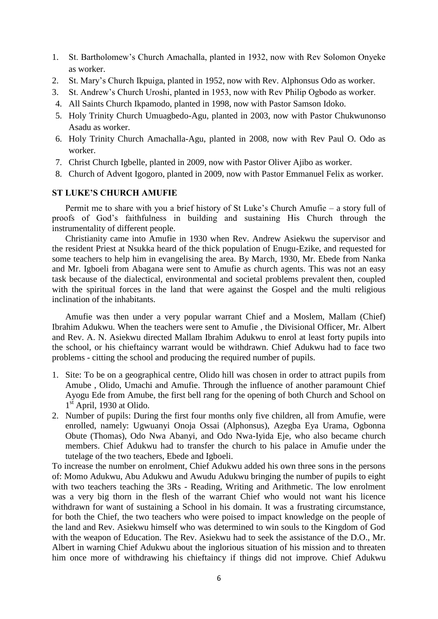- 1. St. Bartholomew"s Church Amachalla, planted in 1932, now with Rev Solomon Onyeke as worker.
- 2. St. Mary"s Church Ikpuiga, planted in 1952, now with Rev. Alphonsus Odo as worker.
- 3. St. Andrew"s Church Uroshi, planted in 1953, now with Rev Philip Ogbodo as worker.
- 4. All Saints Church Ikpamodo, planted in 1998, now with Pastor Samson Idoko.
- 5. Holy Trinity Church Umuagbedo-Agu, planted in 2003, now with Pastor Chukwunonso Asadu as worker.
- 6. Holy Trinity Church Amachalla-Agu, planted in 2008, now with Rev Paul O. Odo as worker.
- 7. Christ Church Igbelle, planted in 2009, now with Pastor Oliver Ajibo as worker.
- 8. Church of Advent Igogoro, planted in 2009, now with Pastor Emmanuel Felix as worker.

### **ST LUKE'S CHURCH AMUFIE**

Permit me to share with you a brief history of St Luke"s Church Amufie – a story full of proofs of God"s faithfulness in building and sustaining His Church through the instrumentality of different people.

Christianity came into Amufie in 1930 when Rev. Andrew Asiekwu the supervisor and the resident Priest at Nsukka heard of the thick population of Enugu-Ezike, and requested for some teachers to help him in evangelising the area. By March, 1930, Mr. Ebede from Nanka and Mr. Igboeli from Abagana were sent to Amufie as church agents. This was not an easy task because of the dialectical, environmental and societal problems prevalent then, coupled with the spiritual forces in the land that were against the Gospel and the multi religious inclination of the inhabitants.

Amufie was then under a very popular warrant Chief and a Moslem, Mallam (Chief) Ibrahim Adukwu. When the teachers were sent to Amufie , the Divisional Officer, Mr. Albert and Rev. A. N. Asiekwu directed Mallam Ibrahim Adukwu to enrol at least forty pupils into the school, or his chieftaincy warrant would be withdrawn. Chief Adukwu had to face two problems - citting the school and producing the required number of pupils.

- 1. Site: To be on a geographical centre, Olido hill was chosen in order to attract pupils from Amube , Olido, Umachi and Amufie. Through the influence of another paramount Chief Ayogu Ede from Amube, the first bell rang for the opening of both Church and School on 1<sup>st</sup> April, 1930 at Olido.
- 2. Number of pupils: During the first four months only five children, all from Amufie, were enrolled, namely: Ugwuanyi Onoja Ossai (Alphonsus), Azegba Eya Urama, Ogbonna Obute (Thomas), Odo Nwa Abanyi, and Odo Nwa-Iyida Eje, who also became church members. Chief Adukwu had to transfer the church to his palace in Amufie under the tutelage of the two teachers, Ebede and Igboeli.

To increase the number on enrolment, Chief Adukwu added his own three sons in the persons of: Momo Adukwu, Abu Adukwu and Awudu Adukwu bringing the number of pupils to eight with two teachers teaching the 3Rs - Reading, Writing and Arithmetic. The low enrolment was a very big thorn in the flesh of the warrant Chief who would not want his licence withdrawn for want of sustaining a School in his domain. It was a frustrating circumstance, for both the Chief, the two teachers who were poised to impact knowledge on the people of the land and Rev. Asiekwu himself who was determined to win souls to the Kingdom of God with the weapon of Education. The Rev. Asiekwu had to seek the assistance of the D.O., Mr. Albert in warning Chief Adukwu about the inglorious situation of his mission and to threaten him once more of withdrawing his chieftaincy if things did not improve. Chief Adukwu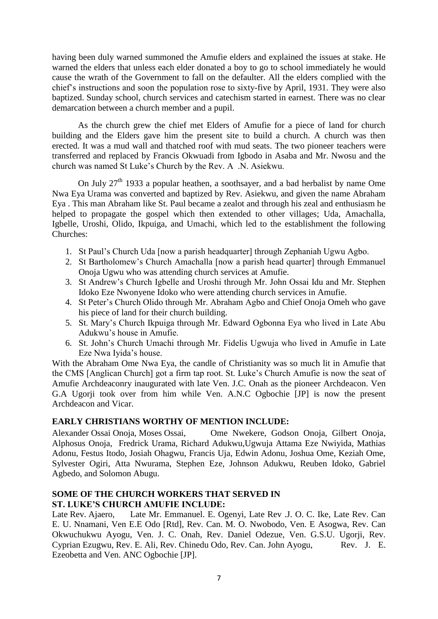having been duly warned summoned the Amufie elders and explained the issues at stake. He warned the elders that unless each elder donated a boy to go to school immediately he would cause the wrath of the Government to fall on the defaulter. All the elders complied with the chief"s instructions and soon the population rose to sixty-five by April, 1931. They were also baptized. Sunday school, church services and catechism started in earnest. There was no clear demarcation between a church member and a pupil.

As the church grew the chief met Elders of Amufie for a piece of land for church building and the Elders gave him the present site to build a church. A church was then erected. It was a mud wall and thatched roof with mud seats. The two pioneer teachers were transferred and replaced by Francis Okwuadi from Igbodo in Asaba and Mr. Nwosu and the church was named St Luke"s Church by the Rev. A .N. Asiekwu.

On July 27th 1933 a popular heathen, a soothsayer, and a bad herbalist by name Ome Nwa Eya Urama was converted and baptized by Rev. Asiekwu, and given the name Abraham Eya . This man Abraham like St. Paul became a zealot and through his zeal and enthusiasm he helped to propagate the gospel which then extended to other villages; Uda, Amachalla, Igbelle, Uroshi, Olido, Ikpuiga, and Umachi, which led to the establishment the following Churches:

- 1. St Paul"s Church Uda [now a parish headquarter] through Zephaniah Ugwu Agbo.
- 2. St Bartholomew's Church Amachalla [now a parish head quarter] through Emmanuel Onoja Ugwu who was attending church services at Amufie.
- 3. St Andrew"s Church Igbelle and Uroshi through Mr. John Ossai Idu and Mr. Stephen Idoko Eze Nwonyene Idoko who were attending church services in Amufie.
- 4. St Peter"s Church Olido through Mr. Abraham Agbo and Chief Onoja Omeh who gave his piece of land for their church building.
- 5. St. Mary"s Church Ikpuiga through Mr. Edward Ogbonna Eya who lived in Late Abu Adukwu"s house in Amufie.
- 6. St. John"s Church Umachi through Mr. Fidelis Ugwuja who lived in Amufie in Late Eze Nwa Iyida"s house.

With the Abraham Ome Nwa Eya, the candle of Christianity was so much lit in Amufie that the CMS [Anglican Church] got a firm tap root. St. Luke's Church Amufie is now the seat of Amufie Archdeaconry inaugurated with late Ven. J.C. Onah as the pioneer Archdeacon. Ven G.A Ugorji took over from him while Ven. A.N.C Ogbochie [JP] is now the present Archdeacon and Vicar.

## **EARLY CHRISTIANS WORTHY OF MENTION INCLUDE:**

Alexander Ossai Onoja, Moses Ossai, Ome Nwekere, Godson Onoja, Gilbert Onoja, Alphosus Onoja, Fredrick Urama, Richard Adukwu,Ugwuja Attama Eze Nwiyida, Mathias Adonu, Festus Itodo, Josiah Ohagwu, Francis Uja, Edwin Adonu, Joshua Ome, Keziah Ome, Sylvester Ogiri, Atta Nwurama, Stephen Eze, Johnson Adukwu, Reuben Idoko, Gabriel Agbedo, and Solomon Abugu.

### **SOME OF THE CHURCH WORKERS THAT SERVED IN ST. LUKE'S CHURCH AMUFIE INCLUDE:**

Late Rev. Ajaero, Late Mr. Emmanuel. E. Ogenyi, Late Rev .J. O. C. Ike, Late Rev. Can E. U. Nnamani, Ven E.E Odo [Rtd], Rev. Can. M. O. Nwobodo, Ven. E Asogwa, Rev. Can Okwuchukwu Ayogu, Ven. J. C. Onah, Rev. Daniel Odezue, Ven. G.S.U. Ugorji, Rev. Cyprian Ezugwu, Rev. E. Ali, Rev. Chinedu Odo, Rev. Can. John Ayogu, Rev. J. E. Ezeobetta and Ven. ANC Ogbochie [JP].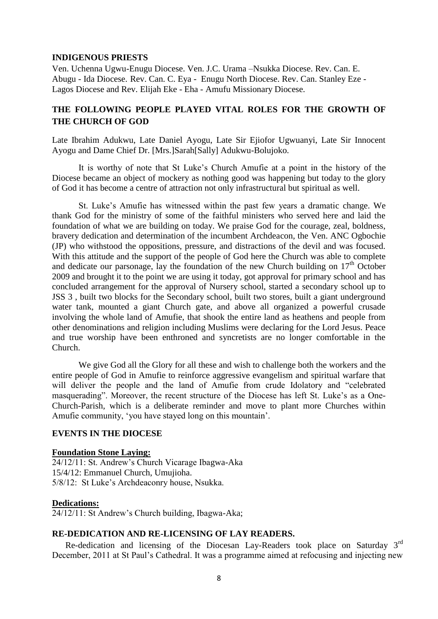#### **INDIGENOUS PRIESTS**

Ven. Uchenna Ugwu-Enugu Diocese. Ven. J.C. Urama –Nsukka Diocese. Rev. Can. E. Abugu - Ida Diocese. Rev. Can. C. Eya - Enugu North Diocese. Rev. Can. Stanley Eze - Lagos Diocese and Rev. Elijah Eke - Eha - Amufu Missionary Diocese.

## **THE FOLLOWING PEOPLE PLAYED VITAL ROLES FOR THE GROWTH OF THE CHURCH OF GOD**

Late Ibrahim Adukwu, Late Daniel Ayogu, Late Sir Ejiofor Ugwuanyi, Late Sir Innocent Ayogu and Dame Chief Dr. [Mrs.]Sarah[Sally] Adukwu-Bolujoko.

It is worthy of note that St Luke"s Church Amufie at a point in the history of the Diocese became an object of mockery as nothing good was happening but today to the glory of God it has become a centre of attraction not only infrastructural but spiritual as well.

St. Luke's Amufie has witnessed within the past few years a dramatic change. We thank God for the ministry of some of the faithful ministers who served here and laid the foundation of what we are building on today. We praise God for the courage, zeal, boldness, bravery dedication and determination of the incumbent Archdeacon, the Ven. ANC Ogbochie (JP) who withstood the oppositions, pressure, and distractions of the devil and was focused. With this attitude and the support of the people of God here the Church was able to complete and dedicate our parsonage, lay the foundation of the new Church building on  $17<sup>th</sup>$  October 2009 and brought it to the point we are using it today, got approval for primary school and has concluded arrangement for the approval of Nursery school, started a secondary school up to JSS 3 , built two blocks for the Secondary school, built two stores, built a giant underground water tank, mounted a giant Church gate, and above all organized a powerful crusade involving the whole land of Amufie, that shook the entire land as heathens and people from other denominations and religion including Muslims were declaring for the Lord Jesus. Peace and true worship have been enthroned and syncretists are no longer comfortable in the Church.

We give God all the Glory for all these and wish to challenge both the workers and the entire people of God in Amufie to reinforce aggressive evangelism and spiritual warfare that will deliver the people and the land of Amufie from crude Idolatory and "celebrated" masquerading". Moreover, the recent structure of the Diocese has left St. Luke"s as a One-Church-Parish, which is a deliberate reminder and move to plant more Churches within Amufie community, "you have stayed long on this mountain".

#### **EVENTS IN THE DIOCESE**

#### **Foundation Stone Laying:**

24/12/11: St. Andrew"s Church Vicarage Ibagwa-Aka 15/4/12: Emmanuel Church, Umujioha. 5/8/12: St Luke"s Archdeaconry house, Nsukka.

#### **Dedications:**

24/12/11: St Andrew"s Church building, Ibagwa-Aka;

### **RE-DEDICATION AND RE-LICENSING OF LAY READERS.**

 Re-dedication and licensing of the Diocesan Lay-Readers took place on Saturday 3rd December, 2011 at St Paul"s Cathedral. It was a programme aimed at refocusing and injecting new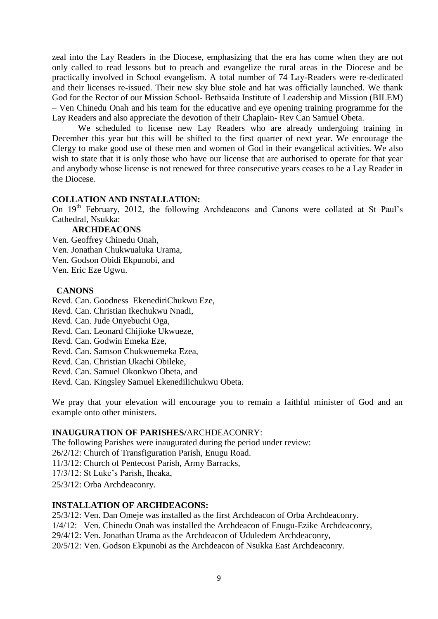zeal into the Lay Readers in the Diocese, emphasizing that the era has come when they are not only called to read lessons but to preach and evangelize the rural areas in the Diocese and be practically involved in School evangelism. A total number of 74 Lay-Readers were re-dedicated and their licenses re-issued. Their new sky blue stole and hat was officially launched. We thank God for the Rector of our Mission School- Bethsaida Institute of Leadership and Mission (BILEM) – Ven Chinedu Onah and his team for the educative and eye opening training programme for the Lay Readers and also appreciate the devotion of their Chaplain- Rev Can Samuel Obeta.

We scheduled to license new Lay Readers who are already undergoing training in December this year but this will be shifted to the first quarter of next year. We encourage the Clergy to make good use of these men and women of God in their evangelical activities. We also wish to state that it is only those who have our license that are authorised to operate for that year and anybody whose license is not renewed for three consecutive years ceases to be a Lay Reader in the Diocese.

### **COLLATION AND INSTALLATION:**

On  $19<sup>th</sup>$  February, 2012, the following Archdeacons and Canons were collated at St Paul's Cathedral, Nsukka:

#### **ARCHDEACONS**

Ven. Geoffrey Chinedu Onah,

Ven. Jonathan Chukwualuka Urama,

Ven. Godson Obidi Ekpunobi, and

Ven. Eric Eze Ugwu.

#### **CANONS**

Revd. Can. Goodness EkenediriChukwu Eze,

Revd. Can. Christian Ikechukwu Nnadi,

Revd. Can. Jude Onyebuchi Oga,

Revd. Can. Leonard Chijioke Ukwueze,

Revd. Can. Godwin Emeka Eze,

Revd. Can. Samson Chukwuemeka Ezea,

Revd. Can. Christian Ukachi Obileke,

Revd. Can. Samuel Okonkwo Obeta, and

Revd. Can. Kingsley Samuel Ekenedilichukwu Obeta.

We pray that your elevation will encourage you to remain a faithful minister of God and an example onto other ministers.

#### **INAUGURATION OF PARISHES/**ARCHDEACONRY:

The following Parishes were inaugurated during the period under review:

26/2/12: Church of Transfiguration Parish, Enugu Road.

11/3/12: Church of Pentecost Parish, Army Barracks,

17/3/12: St Luke"s Parish, Iheaka,

25/3/12: Orba Archdeaconry.

### **INSTALLATION OF ARCHDEACONS:**

25/3/12: Ven. Dan Omeje was installed as the first Archdeacon of Orba Archdeaconry.

1/4/12: Ven. Chinedu Onah was installed the Archdeacon of Enugu-Ezike Archdeaconry,

29/4/12: Ven. Jonathan Urama as the Archdeacon of Uduledem Archdeaconry,

20/5/12: Ven. Godson Ekpunobi as the Archdeacon of Nsukka East Archdeaconry.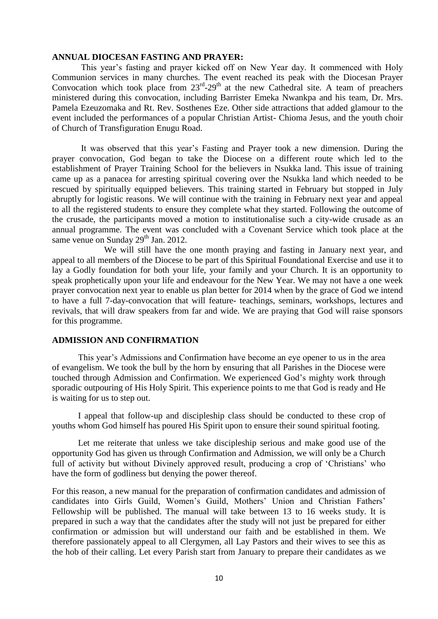#### **ANNUAL DIOCESAN FASTING AND PRAYER:**

This year"s fasting and prayer kicked off on New Year day. It commenced with Holy Communion services in many churches. The event reached its peak with the Diocesan Prayer Convocation which took place from  $23<sup>rd</sup>-29<sup>th</sup>$  at the new Cathedral site. A team of preachers ministered during this convocation, including Barrister Emeka Nwankpa and his team, Dr. Mrs. Pamela Ezeuzomaka and Rt. Rev. Sosthenes Eze. Other side attractions that added glamour to the event included the performances of a popular Christian Artist- Chioma Jesus, and the youth choir of Church of Transfiguration Enugu Road.

It was observed that this year"s Fasting and Prayer took a new dimension. During the prayer convocation, God began to take the Diocese on a different route which led to the establishment of Prayer Training School for the believers in Nsukka land. This issue of training came up as a panacea for arresting spiritual covering over the Nsukka land which needed to be rescued by spiritually equipped believers. This training started in February but stopped in July abruptly for logistic reasons. We will continue with the training in February next year and appeal to all the registered students to ensure they complete what they started. Following the outcome of the crusade, the participants moved a motion to institutionalise such a city-wide crusade as an annual programme. The event was concluded with a Covenant Service which took place at the same venue on Sunday  $29<sup>th</sup>$  Jan. 2012.

We will still have the one month praying and fasting in January next year, and appeal to all members of the Diocese to be part of this Spiritual Foundational Exercise and use it to lay a Godly foundation for both your life, your family and your Church. It is an opportunity to speak prophetically upon your life and endeavour for the New Year. We may not have a one week prayer convocation next year to enable us plan better for 2014 when by the grace of God we intend to have a full 7-day-convocation that will feature- teachings, seminars, workshops, lectures and revivals, that will draw speakers from far and wide. We are praying that God will raise sponsors for this programme.

#### **ADMISSION AND CONFIRMATION**

This year"s Admissions and Confirmation have become an eye opener to us in the area of evangelism. We took the bull by the horn by ensuring that all Parishes in the Diocese were touched through Admission and Confirmation. We experienced God"s mighty work through sporadic outpouring of His Holy Spirit. This experience points to me that God is ready and He is waiting for us to step out.

I appeal that follow-up and discipleship class should be conducted to these crop of youths whom God himself has poured His Spirit upon to ensure their sound spiritual footing.

Let me reiterate that unless we take discipleship serious and make good use of the opportunity God has given us through Confirmation and Admission, we will only be a Church full of activity but without Divinely approved result, producing a crop of 'Christians' who have the form of godliness but denying the power thereof.

For this reason, a new manual for the preparation of confirmation candidates and admission of candidates into Girls Guild, Women"s Guild, Mothers" Union and Christian Fathers" Fellowship will be published. The manual will take between 13 to 16 weeks study. It is prepared in such a way that the candidates after the study will not just be prepared for either confirmation or admission but will understand our faith and be established in them. We therefore passionately appeal to all Clergymen, all Lay Pastors and their wives to see this as the hob of their calling. Let every Parish start from January to prepare their candidates as we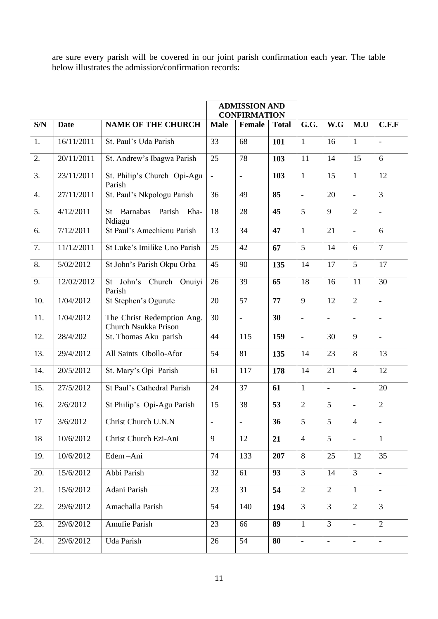are sure every parish will be covered in our joint parish confirmation each year. The table below illustrates the admission/confirmation records:

|     | <b>ADMISSION AND</b><br><b>CONFIRMATION</b> |                                                    |             |                          |              |                          |                          |                          |                              |
|-----|---------------------------------------------|----------------------------------------------------|-------------|--------------------------|--------------|--------------------------|--------------------------|--------------------------|------------------------------|
| S/N | <b>Date</b>                                 | <b>NAME OF THE CHURCH</b>                          | <b>Male</b> | Female                   | <b>Total</b> | G.G.                     | W.G                      | M.U                      | C.F.F                        |
| 1.  | 16/11/2011                                  | St. Paul's Uda Parish                              | 33          | 68                       | 101          | $\mathbf{1}$             | 16                       | $\mathbf{1}$             | $\bar{\phantom{a}}$          |
| 2.  | 20/11/2011                                  | St. Andrew's Ibagwa Parish                         | 25          | 78                       | 103          | 11                       | 14                       | 15                       | 6                            |
| 3.  | 23/11/2011                                  | St. Philip's Church Opi-Agu<br>Parish              | $\Box$      | $\overline{\phantom{a}}$ | 103          | $\mathbf{1}$             | 15                       | $\mathbf{1}$             | 12                           |
| 4.  | 27/11/2011                                  | St. Paul's Nkpologu Parish                         | 36          | 49                       | 85           | $\bar{\phantom{a}}$      | 20                       | $\overline{\phantom{a}}$ | 3                            |
| 5.  | 4/12/2011                                   | Barnabas Parish<br>Eha-<br><b>St</b><br>Ndiagu     | 18          | 28                       | 45           | 5                        | 9                        | $\overline{2}$           | $\overline{\phantom{a}}$     |
| 6.  | 7/12/2011                                   | St Paul's Amechienu Parish                         | 13          | 34                       | 47           | $\mathbf{1}$             | 21                       | $\overline{\phantom{a}}$ | 6                            |
| 7.  | 11/12/2011                                  | St Luke's Imilike Uno Parish                       | 25          | 42                       | 67           | 5                        | 14                       | 6                        | $\overline{7}$               |
| 8.  | 5/02/2012                                   | St John's Parish Okpu Orba                         | 45          | 90                       | 135          | 14                       | 17                       | 5                        | 17                           |
| 9.  | 12/02/2012                                  | St John's Church Onuiyi<br>Parish                  | 26          | 39                       | 65           | 18                       | 16                       | 11                       | 30                           |
| 10. | 1/04/2012                                   | St Stephen's Ogurute                               | 20          | $\overline{57}$          | 77           | 9                        | 12                       | $\overline{2}$           | $\frac{1}{2}$                |
| 11. | 1/04/2012                                   | The Christ Redemption Ang.<br>Church Nsukka Prison | 30          | $\overline{\phantom{0}}$ | 30           | $\overline{\phantom{a}}$ | $\overline{\phantom{a}}$ | $\overline{\phantom{a}}$ | $\qquad \qquad \blacksquare$ |
| 12. | 28/4/202                                    | St. Thomas Aku parish                              | 44          | 115                      | 159          | $\blacksquare$           | 30                       | 9                        | $\blacksquare$               |
| 13. | 29/4/2012                                   | All Saints Obollo-Afor                             | 54          | 81                       | 135          | 14                       | 23                       | 8                        | 13                           |
| 14. | 20/5/2012                                   | St. Mary's Opi Parish                              | 61          | 117                      | 178          | 14                       | 21                       | $\overline{4}$           | 12                           |
| 15. | 27/5/2012                                   | St Paul's Cathedral Parish                         | 24          | 37                       | 61           | $\mathbf{1}$             | $\frac{1}{2}$            | $\overline{a}$           | 20                           |
| 16. | 2/6/2012                                    | St Philip's Opi-Agu Parish                         | 15          | 38                       | 53           | $\overline{2}$           | 5                        | $\overline{\phantom{a}}$ | $\overline{2}$               |
| 17  | 3/6/2012                                    | Christ Church U.N.N                                | $\Box$      | $\blacksquare$           | 36           | $\overline{5}$           | $\overline{5}$           | $\overline{4}$           | $\blacksquare$               |
| 18  | 10/6/2012                                   | Christ Church Ezi-Ani                              | 9           | 12                       | 21           | $\overline{4}$           | 5                        | $\blacksquare$           | $\mathbf{1}$                 |
| 19. | 10/6/2012                                   | Edem-Ani                                           | 74          | 133                      | 207          | 8                        | 25                       | 12                       | 35                           |
| 20. | 15/6/2012                                   | Abbi Parish                                        | 32          | 61                       | 93           | $\overline{3}$           | 14                       | $\overline{3}$           | $\Box$                       |
| 21. | 15/6/2012                                   | Adani Parish                                       | 23          | 31                       | 54           | $\overline{2}$           | $\overline{2}$           | $\mathbf{1}$             | $\overline{\phantom{a}}$     |
| 22. | 29/6/2012                                   | Amachalla Parish                                   | 54          | 140                      | 194          | $\overline{3}$           | $\overline{3}$           | $\overline{2}$           | $\overline{3}$               |
| 23. | 29/6/2012                                   | Amufie Parish                                      | 23          | 66                       | 89           | $\mathbf{1}$             | $\overline{3}$           | $\blacksquare$           | $\overline{2}$               |
| 24. | 29/6/2012                                   | Uda Parish                                         | 26          | 54                       | 80           | $\Box$                   | $\overline{\phantom{a}}$ | $\overline{\phantom{a}}$ | $\overline{\phantom{a}}$     |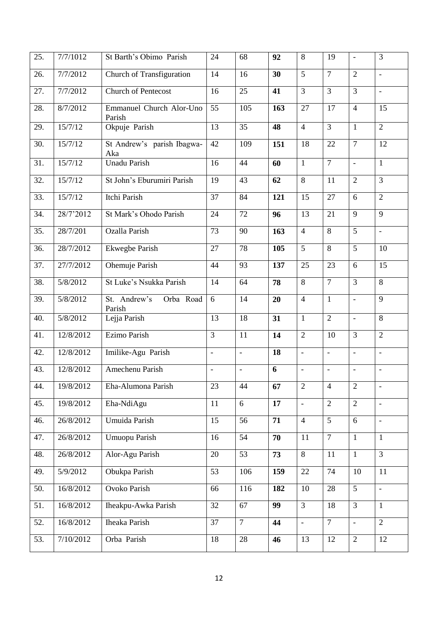| 25. | 7/7/1012  | St Barth's Obimo Parish             | 24                       | 68             | 92  | 8                        | 19                           | $\overline{\phantom{a}}$ | 3                        |
|-----|-----------|-------------------------------------|--------------------------|----------------|-----|--------------------------|------------------------------|--------------------------|--------------------------|
| 26. | 7/7/2012  | Church of Transfiguration           | 14                       | 16             | 30  | 5                        | $\overline{7}$               | $\overline{2}$           | $\blacksquare$           |
| 27. | 7/7/2012  | <b>Church of Pentecost</b>          | 16                       | 25             | 41  | $\overline{3}$           | $\overline{3}$               | $\overline{3}$           | $\overline{\phantom{a}}$ |
| 28. | 8/7/2012  | Emmanuel Church Alor-Uno<br>Parish  | 55                       | 105            | 163 | 27                       | 17                           | $\overline{4}$           | $\overline{15}$          |
| 29. | 15/7/12   | Okpuje Parish                       | 13                       | 35             | 48  | $\overline{4}$           | $\overline{3}$               | $\mathbf{1}$             | $\overline{2}$           |
| 30. | 15/7/12   | St Andrew's parish Ibagwa-<br>Aka   | 42                       | 109            | 151 | 18                       | 22                           | $\tau$                   | 12                       |
| 31. | 15/7/12   | <b>Unadu Parish</b>                 | 16                       | 44             | 60  | $\mathbf{1}$             | $\overline{7}$               | $\overline{\phantom{a}}$ | $\mathbf{1}$             |
| 32. | 15/7/12   | St John's Eburumiri Parish          | 19                       | 43             | 62  | $\,8\,$                  | 11                           | $\overline{2}$           | 3                        |
| 33. | 15/7/12   | Itchi Parish                        | 37                       | 84             | 121 | 15                       | 27                           | 6                        | $\overline{2}$           |
| 34. | 28/7'2012 | St Mark's Ohodo Parish              | 24                       | 72             | 96  | 13                       | 21                           | 9                        | 9                        |
| 35. | 28/7/201  | Ozalla Parish                       | 73                       | 90             | 163 | $\overline{4}$           | $\overline{8}$               | 5                        | $\overline{\phantom{a}}$ |
| 36. | 28/7/2012 | <b>Ekwegbe Parish</b>               | 27                       | 78             | 105 | 5                        | 8                            | 5                        | 10                       |
| 37. | 27/7/2012 | Ohemuje Parish                      | 44                       | 93             | 137 | 25                       | 23                           | 6                        | 15                       |
| 38. | 5/8/2012  | St Luke's Nsukka Parish             | 14                       | 64             | 78  | 8                        | $\overline{7}$               | 3                        | $\overline{8}$           |
| 39. | 5/8/2012  | St. Andrew's<br>Orba Road<br>Parish | 6                        | 14             | 20  | $\overline{4}$           | $\mathbf{1}$                 | $\Box$                   | 9                        |
| 40. | 5/8/2012  | Lejja Parish                        | 13                       | 18             | 31  | $\mathbf{1}$             | $\overline{2}$               | $\frac{1}{2}$            | 8                        |
| 41. | 12/8/2012 | Ezimo Parish                        | 3                        | 11             | 14  | $\overline{2}$           | 10                           | 3                        | $\overline{2}$           |
| 42. | 12/8/2012 | Imilike-Agu Parish                  | $\overline{\phantom{a}}$ | $\blacksquare$ | 18  | $\overline{\phantom{a}}$ | $\overline{\phantom{a}}$     | $\overline{\phantom{a}}$ | $\overline{\phantom{a}}$ |
| 43. | 12/8/2012 | Amechenu Parish                     | $\overline{\phantom{a}}$ | $\blacksquare$ | 6   | $\blacksquare$           | $\qquad \qquad \blacksquare$ | $\overline{\phantom{a}}$ | $\overline{\phantom{a}}$ |
| 44. | 19/8/2012 | Eha-Alumona Parish                  | 23                       | 44             | 67  | $\overline{2}$           | $\overline{4}$               | $\sqrt{2}$               | $\blacksquare$           |
| 45. | 19/8/2012 | Eha-NdiAgu                          | 11                       | 6              | 17  | $\blacksquare$           | $\overline{2}$               | $\overline{2}$           | $\overline{\phantom{a}}$ |
| 46. | 26/8/2012 | Umuida Parish                       | 15                       | 56             | 71  | $\overline{4}$           | $\overline{5}$               | 6                        | $\overline{\phantom{a}}$ |
| 47. | 26/8/2012 | <b>Umuopu Parish</b>                | 16                       | 54             | 70  | 11                       | $\overline{7}$               | $\mathbf{1}$             | $\mathbf{1}$             |
| 48. | 26/8/2012 | Alor-Agu Parish                     | 20                       | 53             | 73  | 8                        | 11                           | $\mathbf{1}$             | $\overline{3}$           |
| 49. | 5/9/2012  | Obukpa Parish                       | 53                       | 106            | 159 | 22                       | 74                           | 10                       | 11                       |
| 50. | 16/8/2012 | Ovoko Parish                        | 66                       | 116            | 182 | 10                       | 28                           | 5                        | $\overline{\phantom{a}}$ |
| 51. | 16/8/2012 | Iheakpu-Awka Parish                 | $\overline{32}$          | 67             | 99  | $\overline{3}$           | 18                           | $\overline{3}$           | $\mathbf{1}$             |
| 52. | 16/8/2012 | <b>Iheaka Parish</b>                | 37                       | $\overline{7}$ | 44  | $\blacksquare$           | $\overline{7}$               | $\overline{\phantom{a}}$ | $\overline{2}$           |
| 53. | 7/10/2012 | Orba Parish                         | 18                       | 28             | 46  | 13                       | 12                           | $\overline{2}$           | 12                       |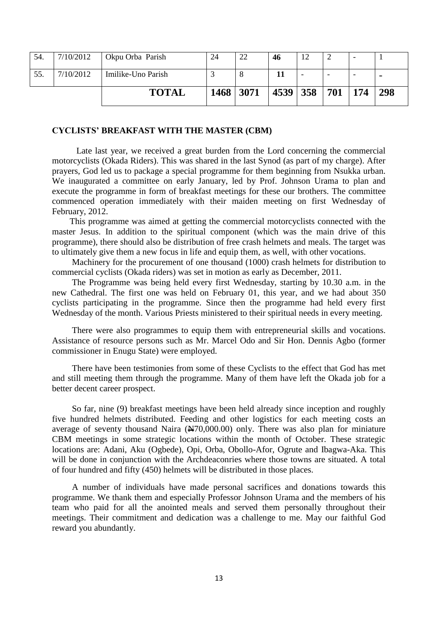|     |           | <b>TOTAL</b>       | 1468 | 3071 | 4539 358 |    | 701 | 174                      | 298 |
|-----|-----------|--------------------|------|------|----------|----|-----|--------------------------|-----|
| 55. | 7/10/2012 | Imilike-Uno Parish |      | ∩    |          |    | -   | $\overline{\phantom{0}}$ |     |
| 54. | 7/10/2012 | Okpu Orba Parish   | 24   | 22   | 46       | 12 | ∽   | -                        |     |

#### **CYCLISTS' BREAKFAST WITH THE MASTER (CBM)**

 Late last year, we received a great burden from the Lord concerning the commercial motorcyclists (Okada Riders). This was shared in the last Synod (as part of my charge). After prayers, God led us to package a special programme for them beginning from Nsukka urban. We inaugurated a committee on early January, led by Prof. Johnson Urama to plan and execute the programme in form of breakfast meetings for these our brothers. The committee commenced operation immediately with their maiden meeting on first Wednesday of February, 2012.

 This programme was aimed at getting the commercial motorcyclists connected with the master Jesus. In addition to the spiritual component (which was the main drive of this programme), there should also be distribution of free crash helmets and meals. The target was to ultimately give them a new focus in life and equip them, as well, with other vocations.

Machinery for the procurement of one thousand (1000) crash helmets for distribution to commercial cyclists (Okada riders) was set in motion as early as December, 2011.

The Programme was being held every first Wednesday, starting by 10.30 a.m. in the new Cathedral. The first one was held on February 01, this year, and we had about 350 cyclists participating in the programme. Since then the programme had held every first Wednesday of the month. Various Priests ministered to their spiritual needs in every meeting.

There were also programmes to equip them with entrepreneurial skills and vocations. Assistance of resource persons such as Mr. Marcel Odo and Sir Hon. Dennis Agbo (former commissioner in Enugu State) were employed.

There have been testimonies from some of these Cyclists to the effect that God has met and still meeting them through the programme. Many of them have left the Okada job for a better decent career prospect.

So far, nine (9) breakfast meetings have been held already since inception and roughly five hundred helmets distributed. Feeding and other logistics for each meeting costs an average of seventy thousand Naira  $(\text{H70,000.00})$  only. There was also plan for miniature CBM meetings in some strategic locations within the month of October. These strategic locations are: Adani, Aku (Ogbede), Opi, Orba, Obollo-Afor, Ogrute and Ibagwa-Aka. This will be done in conjunction with the Archdeaconries where those towns are situated. A total of four hundred and fifty (450) helmets will be distributed in those places.

A number of individuals have made personal sacrifices and donations towards this programme. We thank them and especially Professor Johnson Urama and the members of his team who paid for all the anointed meals and served them personally throughout their meetings. Their commitment and dedication was a challenge to me. May our faithful God reward you abundantly.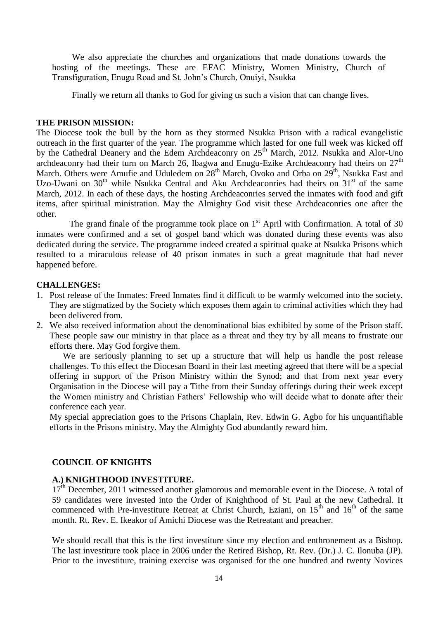We also appreciate the churches and organizations that made donations towards the hosting of the meetings. These are EFAC Ministry, Women Ministry, Church of Transfiguration, Enugu Road and St. John"s Church, Onuiyi, Nsukka

Finally we return all thanks to God for giving us such a vision that can change lives.

#### **THE PRISON MISSION:**

The Diocese took the bull by the horn as they stormed Nsukka Prison with a radical evangelistic outreach in the first quarter of the year. The programme which lasted for one full week was kicked off by the Cathedral Deanery and the Edem Archdeaconry on 25<sup>th</sup> March, 2012. Nsukka and Alor-Uno archdeaconry had their turn on March 26, Ibagwa and Enugu-Ezike Archdeaconry had theirs on 27<sup>th</sup> March. Others were Amufie and Uduledem on 28<sup>th</sup> March, Ovoko and Orba on 29<sup>th</sup>, Nsukka East and Uzo-Uwani on  $30<sup>th</sup>$  while Nsukka Central and Aku Archdeaconries had theirs on  $31<sup>st</sup>$  of the same March, 2012. In each of these days, the hosting Archdeaconries served the inmates with food and gift items, after spiritual ministration. May the Almighty God visit these Archdeaconries one after the other.

The grand finale of the programme took place on  $1<sup>st</sup>$  April with Confirmation. A total of 30 inmates were confirmed and a set of gospel band which was donated during these events was also dedicated during the service. The programme indeed created a spiritual quake at Nsukka Prisons which resulted to a miraculous release of 40 prison inmates in such a great magnitude that had never happened before.

#### **CHALLENGES:**

- 1. Post release of the Inmates: Freed Inmates find it difficult to be warmly welcomed into the society. They are stigmatized by the Society which exposes them again to criminal activities which they had been delivered from.
- 2. We also received information about the denominational bias exhibited by some of the Prison staff. These people saw our ministry in that place as a threat and they try by all means to frustrate our efforts there. May God forgive them.

 We are seriously planning to set up a structure that will help us handle the post release challenges. To this effect the Diocesan Board in their last meeting agreed that there will be a special offering in support of the Prison Ministry within the Synod; and that from next year every Organisation in the Diocese will pay a Tithe from their Sunday offerings during their week except the Women ministry and Christian Fathers" Fellowship who will decide what to donate after their conference each year.

My special appreciation goes to the Prisons Chaplain, Rev. Edwin G. Agbo for his unquantifiable efforts in the Prisons ministry. May the Almighty God abundantly reward him.

### **COUNCIL OF KNIGHTS**

## **A.) KNIGHTHOOD INVESTITURE.**

17<sup>th</sup> December, 2011 witnessed another glamorous and memorable event in the Diocese. A total of 59 candidates were invested into the Order of Knighthood of St. Paul at the new Cathedral. It commenced with Pre-investiture Retreat at Christ Church, Eziani, on  $15<sup>th</sup>$  and  $16<sup>th</sup>$  of the same month. Rt. Rev. E. Ikeakor of Amichi Diocese was the Retreatant and preacher.

We should recall that this is the first investiture since my election and enthronement as a Bishop. The last investiture took place in 2006 under the Retired Bishop, Rt. Rev. (Dr.) J. C. Ilonuba (JP). Prior to the investiture, training exercise was organised for the one hundred and twenty Novices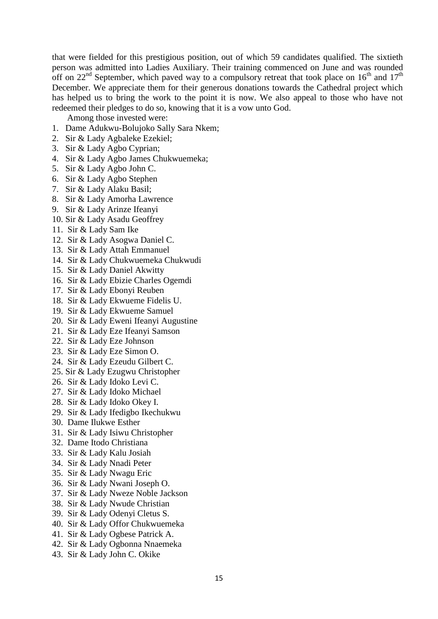that were fielded for this prestigious position, out of which 59 candidates qualified. The sixtieth person was admitted into Ladies Auxiliary. Their training commenced on June and was rounded off on 22<sup>nd</sup> September, which paved way to a compulsory retreat that took place on  $16<sup>th</sup>$  and  $17<sup>th</sup>$ December. We appreciate them for their generous donations towards the Cathedral project which has helped us to bring the work to the point it is now. We also appeal to those who have not redeemed their pledges to do so, knowing that it is a vow unto God.

Among those invested were:

- 1. Dame Adukwu-Bolujoko Sally Sara Nkem;
- 2. Sir & Lady Agbaleke Ezekiel;
- 3. Sir & Lady Agbo Cyprian;
- 4. Sir & Lady Agbo James Chukwuemeka;
- 5. Sir & Lady Agbo John C.
- 6. Sir & Lady Agbo Stephen
- 7. Sir & Lady Alaku Basil;
- 8. Sir & Lady Amorha Lawrence
- 9. Sir & Lady Arinze Ifeanyi
- 10. Sir & Lady Asadu Geoffrey
- 11. Sir & Lady Sam Ike
- 12. Sir & Lady Asogwa Daniel C.
- 13. Sir & Lady Attah Emmanuel
- 14. Sir & Lady Chukwuemeka Chukwudi
- 15. Sir & Lady Daniel Akwitty
- 16. Sir & Lady Ebizie Charles Ogemdi
- 17. Sir & Lady Ebonyi Reuben
- 18. Sir & Lady Ekwueme Fidelis U.
- 19. Sir & Lady Ekwueme Samuel
- 20. Sir & Lady Eweni Ifeanyi Augustine
- 21. Sir & Lady Eze Ifeanyi Samson
- 22. Sir & Lady Eze Johnson
- 23. Sir & Lady Eze Simon O.
- 24. Sir & Lady Ezeudu Gilbert C.
- 25. Sir & Lady Ezugwu Christopher
- 26. Sir & Lady Idoko Levi C.
- 27. Sir & Lady Idoko Michael
- 28. Sir & Lady Idoko Okey I.
- 29. Sir & Lady Ifedigbo Ikechukwu
- 30. Dame Ilukwe Esther
- 31. Sir & Lady Isiwu Christopher
- 32. Dame Itodo Christiana
- 33. Sir & Lady Kalu Josiah
- 34. Sir & Lady Nnadi Peter
- 35. Sir & Lady Nwagu Eric
- 36. Sir & Lady Nwani Joseph O.
- 37. Sir & Lady Nweze Noble Jackson
- 38. Sir & Lady Nwude Christian
- 39. Sir & Lady Odenyi Cletus S.
- 40. Sir & Lady Offor Chukwuemeka
- 41. Sir & Lady Ogbese Patrick A.
- 42. Sir & Lady Ogbonna Nnaemeka
- 43. Sir & Lady John C. Okike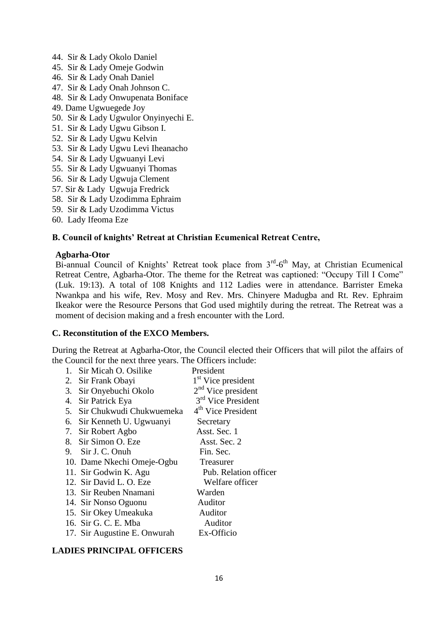- 44. Sir & Lady Okolo Daniel
- 45. Sir & Lady Omeje Godwin
- 46. Sir & Lady Onah Daniel
- 47. Sir & Lady Onah Johnson C.
- 48. Sir & Lady Onwupenata Boniface
- 49. Dame Ugwuegede Joy
- 50. Sir & Lady Ugwulor Onyinyechi E.
- 51. Sir & Lady Ugwu Gibson I.
- 52. Sir & Lady Ugwu Kelvin
- 53. Sir & Lady Ugwu Levi Iheanacho
- 54. Sir & Lady Ugwuanyi Levi
- 55. Sir & Lady Ugwuanyi Thomas
- 56. Sir & Lady Ugwuja Clement
- 57. Sir & Lady Ugwuja Fredrick
- 58. Sir & Lady Uzodimma Ephraim
- 59. Sir & Lady Uzodimma Victus
- 60. Lady Ifeoma Eze

### **B. Council of knights' Retreat at Christian Ecumenical Retreat Centre,**

#### **Agbarha-Otor**

Bi-annual Council of Knights' Retreat took place from 3<sup>rd</sup>-6<sup>th</sup> May, at Christian Ecumenical Retreat Centre, Agbarha-Otor. The theme for the Retreat was captioned: "Occupy Till I Come" (Luk. 19:13). A total of 108 Knights and 112 Ladies were in attendance. Barrister Emeka Nwankpa and his wife, Rev. Mosy and Rev. Mrs. Chinyere Madugba and Rt. Rev. Ephraim Ikeakor were the Resource Persons that God used mightily during the retreat. The Retreat was a moment of decision making and a fresh encounter with the Lord.

#### **C. Reconstitution of the EXCO Members.**

During the Retreat at Agbarha-Otor, the Council elected their Officers that will pilot the affairs of the Council for the next three years. The Officers include:

| 1. | Sir Micah O. Osilike         | President                      |
|----|------------------------------|--------------------------------|
|    | 2. Sir Frank Obayi           | 1 <sup>st</sup> Vice president |
| 3. | Sir Onyebuchi Okolo          | $2nd$ Vice president           |
| 4. | Sir Patrick Eya              | 3 <sup>rd</sup> Vice President |
| 5. | Sir Chukwudi Chukwuemeka     | 4 <sup>th</sup> Vice President |
|    | 6. Sir Kenneth U. Ugwuanyi   | Secretary                      |
|    | 7. Sir Robert Agbo           | Asst. Sec. 1                   |
|    | 8. Sir Simon O. Eze          | Asst. Sec. 2                   |
|    | 9. Sir J. C. Onuh            | Fin. Sec.                      |
|    | 10. Dame Nkechi Omeje-Ogbu   | Treasurer                      |
|    | 11. Sir Godwin K. Agu        | Pub. Relation officer          |
|    | 12. Sir David L. O. Eze      | Welfare officer                |
|    | 13. Sir Reuben Nnamani       | Warden                         |
|    | 14. Sir Nonso Oguonu         | Auditor                        |
|    | 15. Sir Okey Umeakuka        | Auditor                        |
|    | 16. Sir G. C. E. Mba         | Auditor                        |
|    | 17. Sir Augustine E. Onwurah | Ex-Officio                     |

### **LADIES PRINCIPAL OFFICERS**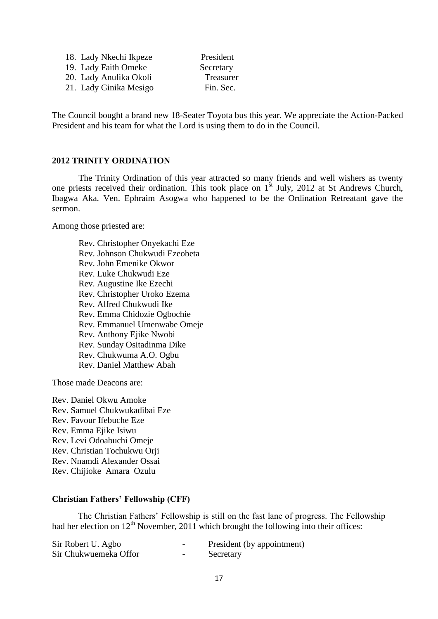| 18. Lady Nkechi Ikpeze | President |
|------------------------|-----------|
| 19. Lady Faith Omeke   | Secretary |
| 20. Lady Anulika Okoli | Treasurer |
| 21. Lady Ginika Mesigo | Fin. Sec. |

The Council bought a brand new 18-Seater Toyota bus this year. We appreciate the Action-Packed President and his team for what the Lord is using them to do in the Council.

#### **2012 TRINITY ORDINATION**

The Trinity Ordination of this year attracted so many friends and well wishers as twenty one priests received their ordination. This took place on  $1<sup>st</sup>$  July, 2012 at St Andrews Church, Ibagwa Aka. Ven. Ephraim Asogwa who happened to be the Ordination Retreatant gave the sermon.

Among those priested are:

Rev. Christopher Onyekachi Eze Rev. Johnson Chukwudi Ezeobeta Rev. John Emenike Okwor Rev. Luke Chukwudi Eze Rev. Augustine Ike Ezechi Rev. Christopher Uroko Ezema Rev. Alfred Chukwudi Ike Rev. Emma Chidozie Ogbochie Rev. Emmanuel Umenwabe Omeje Rev. Anthony Ejike Nwobi Rev. Sunday Ositadinma Dike Rev. Chukwuma A.O. Ogbu Rev. Daniel Matthew Abah

Those made Deacons are:

Rev. Daniel Okwu Amoke Rev. Samuel Chukwukadibai Eze Rev. Favour Ifebuche Eze Rev. Emma Ejike Isiwu Rev. Levi Odoabuchi Omeje Rev. Christian Tochukwu Orji Rev. Nnamdi Alexander Ossai Rev. Chijioke Amara Ozulu

#### **Christian Fathers' Fellowship (CFF)**

The Christian Fathers" Fellowship is still on the fast lane of progress. The Fellowship had her election on  $12<sup>th</sup>$  November, 2011 which brought the following into their offices:

| Sir Robert U. Agbo    | $\overline{\phantom{0}}$ | President (by appointment) |
|-----------------------|--------------------------|----------------------------|
| Sir Chukwuemeka Offor | $\overline{\phantom{0}}$ | Secretary                  |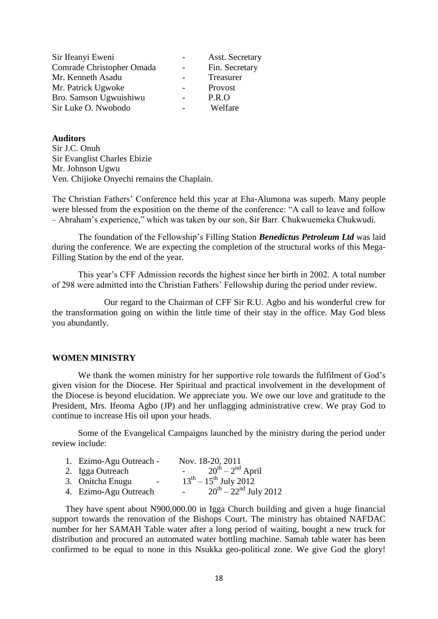| Asst. Secretary |
|-----------------|
| Fin. Secretary  |
| Treasurer       |
|                 |
|                 |
| Welfare         |
|                 |

#### **Auditors**

Sir J.C. Onuh Sir Evanglist Charles Ebizie Mr. Johnson Ugwu Ven. Chijioke Onyechi remains the Chaplain.

The Christian Fathers" Conference held this year at Eha-Alumona was superb. Many people were blessed from the exposition on the theme of the conference: "A call to leave and follow – Abraham"s experience," which was taken by our son, Sir Barr. Chukwuemeka Chukwudi.

The foundation of the Fellowship"s Filling Station *Benedictus Petroleum Ltd* was laid during the conference. We are expecting the completion of the structural works of this Mega-Filling Station by the end of the year.

This year"s CFF Admission records the highest since her birth in 2002. A total number of 298 were admitted into the Christian Fathers" Fellowship during the period under review.

Our regard to the Chairman of CFF Sir R.U. Agbo and his wonderful crew for the transformation going on within the little time of their stay in the office. May God bless you abundantly.

### **WOMEN MINISTRY**

We thank the women ministry for her supportive role towards the fulfilment of God's given vision for the Diocese. Her Spiritual and practical involvement in the development of the Diocese is beyond elucidation. We appreciate you. We owe our love and gratitude to the President, Mrs. Ifeoma Agbo (JP) and her unflagging administrative crew. We pray God to continue to increase His oil upon your heads.

Some of the Evangelical Campaigns launched by the ministry during the period under review include:

| 1. Ezimo-Agu Outreach -                      | Nov. 18-20, 2011                                  |
|----------------------------------------------|---------------------------------------------------|
| 2. Igga Outreach                             | $20^{th} - 2^{nd}$ April                          |
| 3. Onitcha Enugu<br>$\overline{\phantom{0}}$ | $13^{th} - 15^{th}$ July 2012                     |
| 4. Ezimo-Agu Outreach                        | $20^{th} - 22^{nd}$ July 2012<br>$\sim$ 100 $\mu$ |

They have spent about N900,000.00 in Igga Church building and given a huge financial support towards the renovation of the Bishops Court. The ministry has obtained NAFDAC number for her SAMAH Table water after a long period of waiting, bought a new truck for distribution and procured an automated water bottling machine. Samah table water has been confirmed to be equal to none in this Nsukka geo-political zone. We give God the glory!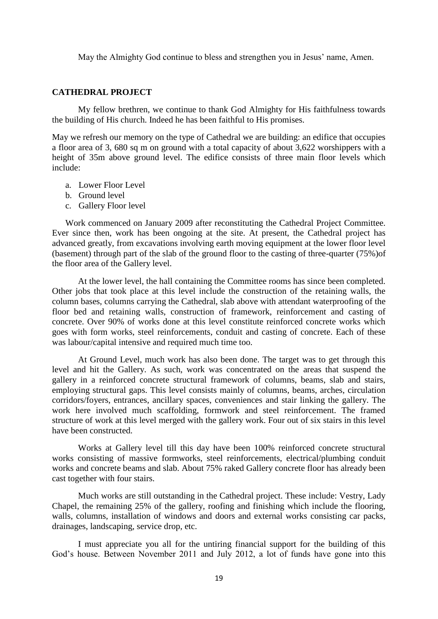May the Almighty God continue to bless and strengthen you in Jesus' name, Amen.

#### **CATHEDRAL PROJECT**

My fellow brethren, we continue to thank God Almighty for His faithfulness towards the building of His church. Indeed he has been faithful to His promises.

May we refresh our memory on the type of Cathedral we are building: an edifice that occupies a floor area of 3, 680 sq m on ground with a total capacity of about 3,622 worshippers with a height of 35m above ground level. The edifice consists of three main floor levels which include:

- a. Lower Floor Level
- b. Ground level
- c. Gallery Floor level

Work commenced on January 2009 after reconstituting the Cathedral Project Committee. Ever since then, work has been ongoing at the site. At present, the Cathedral project has advanced greatly, from excavations involving earth moving equipment at the lower floor level (basement) through part of the slab of the ground floor to the casting of three-quarter (75%)of the floor area of the Gallery level.

At the lower level, the hall containing the Committee rooms has since been completed. Other jobs that took place at this level include the construction of the retaining walls, the column bases, columns carrying the Cathedral, slab above with attendant waterproofing of the floor bed and retaining walls, construction of framework, reinforcement and casting of concrete. Over 90% of works done at this level constitute reinforced concrete works which goes with form works, steel reinforcements, conduit and casting of concrete. Each of these was labour/capital intensive and required much time too.

At Ground Level, much work has also been done. The target was to get through this level and hit the Gallery. As such, work was concentrated on the areas that suspend the gallery in a reinforced concrete structural framework of columns, beams, slab and stairs, employing structural gaps. This level consists mainly of columns, beams, arches, circulation corridors/foyers, entrances, ancillary spaces, conveniences and stair linking the gallery. The work here involved much scaffolding, formwork and steel reinforcement. The framed structure of work at this level merged with the gallery work. Four out of six stairs in this level have been constructed.

Works at Gallery level till this day have been 100% reinforced concrete structural works consisting of massive formworks, steel reinforcements, electrical/plumbing conduit works and concrete beams and slab. About 75% raked Gallery concrete floor has already been cast together with four stairs.

Much works are still outstanding in the Cathedral project. These include: Vestry, Lady Chapel, the remaining 25% of the gallery, roofing and finishing which include the flooring, walls, columns, installation of windows and doors and external works consisting car packs, drainages, landscaping, service drop, etc.

I must appreciate you all for the untiring financial support for the building of this God"s house. Between November 2011 and July 2012, a lot of funds have gone into this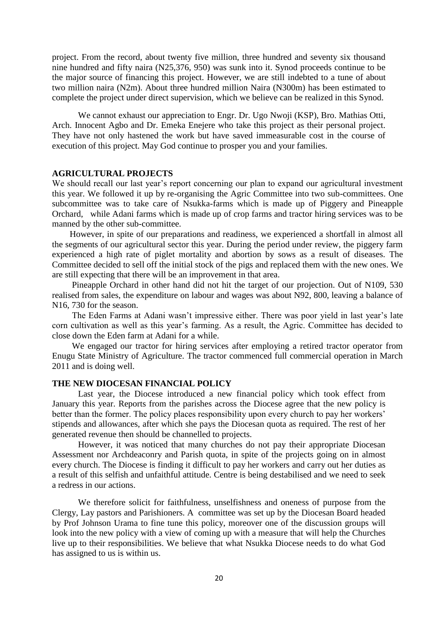project. From the record, about twenty five million, three hundred and seventy six thousand nine hundred and fifty naira (N25,376, 950) was sunk into it. Synod proceeds continue to be the major source of financing this project. However, we are still indebted to a tune of about two million naira (N2m). About three hundred million Naira (N300m) has been estimated to complete the project under direct supervision, which we believe can be realized in this Synod.

We cannot exhaust our appreciation to Engr. Dr. Ugo Nwoji (KSP), Bro. Mathias Otti, Arch. Innocent Agbo and Dr. Emeka Enejere who take this project as their personal project. They have not only hastened the work but have saved immeasurable cost in the course of execution of this project. May God continue to prosper you and your families.

#### **AGRICULTURAL PROJECTS**

We should recall our last year's report concerning our plan to expand our agricultural investment this year. We followed it up by re-organising the Agric Committee into two sub-committees. One subcommittee was to take care of Nsukka-farms which is made up of Piggery and Pineapple Orchard, while Adani farms which is made up of crop farms and tractor hiring services was to be manned by the other sub-committee.

 However, in spite of our preparations and readiness, we experienced a shortfall in almost all the segments of our agricultural sector this year. During the period under review, the piggery farm experienced a high rate of piglet mortality and abortion by sows as a result of diseases. The Committee decided to sell off the initial stock of the pigs and replaced them with the new ones. We are still expecting that there will be an improvement in that area.

 Pineapple Orchard in other hand did not hit the target of our projection. Out of N109, 530 realised from sales, the expenditure on labour and wages was about N92, 800, leaving a balance of N16, 730 for the season.

 The Eden Farms at Adani wasn"t impressive either. There was poor yield in last year"s late corn cultivation as well as this year"s farming. As a result, the Agric. Committee has decided to close down the Eden farm at Adani for a while.

 We engaged our tractor for hiring services after employing a retired tractor operator from Enugu State Ministry of Agriculture. The tractor commenced full commercial operation in March 2011 and is doing well.

#### **THE NEW DIOCESAN FINANCIAL POLICY**

Last year, the Diocese introduced a new financial policy which took effect from January this year. Reports from the parishes across the Diocese agree that the new policy is better than the former. The policy places responsibility upon every church to pay her workers' stipends and allowances, after which she pays the Diocesan quota as required. The rest of her generated revenue then should be channelled to projects.

However, it was noticed that many churches do not pay their appropriate Diocesan Assessment nor Archdeaconry and Parish quota, in spite of the projects going on in almost every church. The Diocese is finding it difficult to pay her workers and carry out her duties as a result of this selfish and unfaithful attitude. Centre is being destabilised and we need to seek a redress in our actions.

We therefore solicit for faithfulness, unselfishness and oneness of purpose from the Clergy, Lay pastors and Parishioners. A committee was set up by the Diocesan Board headed by Prof Johnson Urama to fine tune this policy, moreover one of the discussion groups will look into the new policy with a view of coming up with a measure that will help the Churches live up to their responsibilities. We believe that what Nsukka Diocese needs to do what God has assigned to us is within us.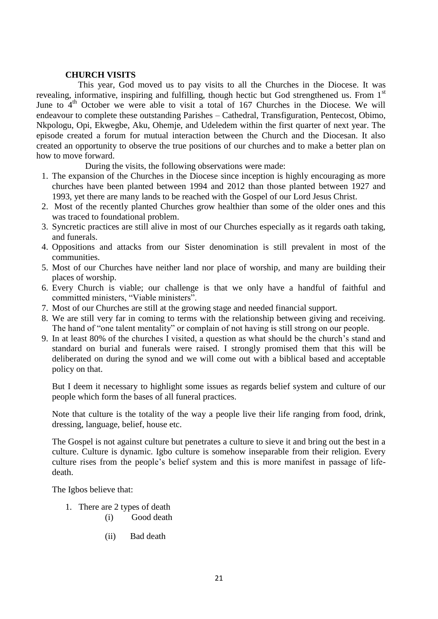#### **CHURCH VISITS**

This year, God moved us to pay visits to all the Churches in the Diocese. It was revealing, informative, inspiring and fulfilling, though hectic but God strengthened us. From 1<sup>st</sup> June to  $4<sup>th</sup>$  October we were able to visit a total of 167 Churches in the Diocese. We will endeavour to complete these outstanding Parishes – Cathedral, Transfiguration, Pentecost, Obimo, Nkpologu, Opi, Ekwegbe, Aku, Ohemje, and Udeledem within the first quarter of next year. The episode created a forum for mutual interaction between the Church and the Diocesan. It also created an opportunity to observe the true positions of our churches and to make a better plan on how to move forward.

During the visits, the following observations were made:

- 1. The expansion of the Churches in the Diocese since inception is highly encouraging as more churches have been planted between 1994 and 2012 than those planted between 1927 and 1993, yet there are many lands to be reached with the Gospel of our Lord Jesus Christ.
- 2. Most of the recently planted Churches grow healthier than some of the older ones and this was traced to foundational problem.
- 3. Syncretic practices are still alive in most of our Churches especially as it regards oath taking, and funerals.
- 4. Oppositions and attacks from our Sister denomination is still prevalent in most of the communities.
- 5. Most of our Churches have neither land nor place of worship, and many are building their places of worship.
- 6. Every Church is viable; our challenge is that we only have a handful of faithful and committed ministers, "Viable ministers".
- 7. Most of our Churches are still at the growing stage and needed financial support.
- 8. We are still very far in coming to terms with the relationship between giving and receiving. The hand of "one talent mentality" or complain of not having is still strong on our people.
- 9. In at least 80% of the churches I visited, a question as what should be the church"s stand and standard on burial and funerals were raised. I strongly promised them that this will be deliberated on during the synod and we will come out with a biblical based and acceptable policy on that.

But I deem it necessary to highlight some issues as regards belief system and culture of our people which form the bases of all funeral practices.

Note that culture is the totality of the way a people live their life ranging from food, drink, dressing, language, belief, house etc.

The Gospel is not against culture but penetrates a culture to sieve it and bring out the best in a culture. Culture is dynamic. Igbo culture is somehow inseparable from their religion. Every culture rises from the people"s belief system and this is more manifest in passage of lifedeath.

The Igbos believe that:

- 1. There are 2 types of death
	- (i) Good death
	- (ii) Bad death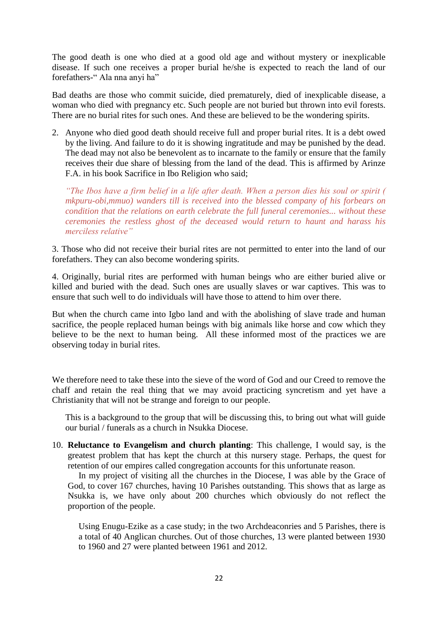The good death is one who died at a good old age and without mystery or inexplicable disease. If such one receives a proper burial he/she is expected to reach the land of our forefathers-" Ala nna anyi ha"

Bad deaths are those who commit suicide, died prematurely, died of inexplicable disease, a woman who died with pregnancy etc. Such people are not buried but thrown into evil forests. There are no burial rites for such ones. And these are believed to be the wondering spirits.

2. Anyone who died good death should receive full and proper burial rites. It is a debt owed by the living. And failure to do it is showing ingratitude and may be punished by the dead. The dead may not also be benevolent as to incarnate to the family or ensure that the family receives their due share of blessing from the land of the dead. This is affirmed by Arinze F.A. in his book Sacrifice in Ibo Religion who said;

*"The Ibos have a firm belief in a life after death. When a person dies his soul or spirit ( mkpuru-obi,mmuo) wanders till is received into the blessed company of his forbears on condition that the relations on earth celebrate the full funeral ceremonies... without these ceremonies the restless ghost of the deceased would return to haunt and harass his merciless relative"*

3. Those who did not receive their burial rites are not permitted to enter into the land of our forefathers. They can also become wondering spirits.

4. Originally, burial rites are performed with human beings who are either buried alive or killed and buried with the dead. Such ones are usually slaves or war captives. This was to ensure that such well to do individuals will have those to attend to him over there.

But when the church came into Igbo land and with the abolishing of slave trade and human sacrifice, the people replaced human beings with big animals like horse and cow which they believe to be the next to human being. All these informed most of the practices we are observing today in burial rites.

We therefore need to take these into the sieve of the word of God and our Creed to remove the chaff and retain the real thing that we may avoid practicing syncretism and yet have a Christianity that will not be strange and foreign to our people.

This is a background to the group that will be discussing this, to bring out what will guide our burial / funerals as a church in Nsukka Diocese.

10. **Reluctance to Evangelism and church planting**: This challenge, I would say, is the greatest problem that has kept the church at this nursery stage. Perhaps, the quest for retention of our empires called congregation accounts for this unfortunate reason.

In my project of visiting all the churches in the Diocese, I was able by the Grace of God, to cover 167 churches, having 10 Parishes outstanding. This shows that as large as Nsukka is, we have only about 200 churches which obviously do not reflect the proportion of the people.

Using Enugu-Ezike as a case study; in the two Archdeaconries and 5 Parishes, there is a total of 40 Anglican churches. Out of those churches, 13 were planted between 1930 to 1960 and 27 were planted between 1961 and 2012.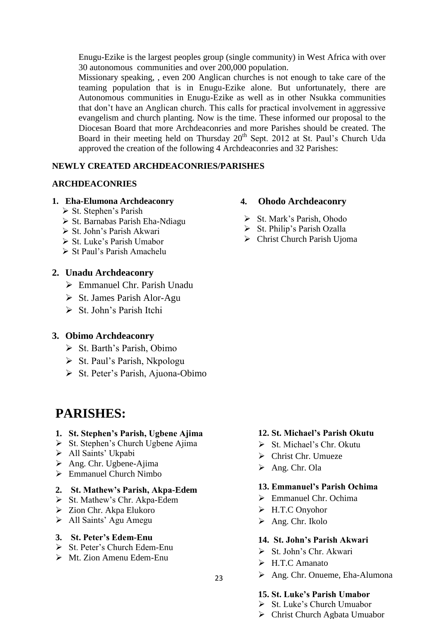Enugu-Ezike is the largest peoples group (single community) in West Africa with over 30 autonomous communities and over 200,000 population.

Missionary speaking, , even 200 Anglican churches is not enough to take care of the teaming population that is in Enugu-Ezike alone. But unfortunately, there are Autonomous communities in Enugu-Ezike as well as in other Nsukka communities that don"t have an Anglican church. This calls for practical involvement in aggressive evangelism and church planting. Now is the time. These informed our proposal to the Diocesan Board that more Archdeaconries and more Parishes should be created. The Board in their meeting held on Thursday 20<sup>th</sup> Sept. 2012 at St. Paul's Church Uda approved the creation of the following 4 Archdeaconries and 32 Parishes:

## **NEWLY CREATED ARCHDEACONRIES/PARISHES**

### **ARCHDEACONRIES**

### **1. Eha-Elumona Archdeaconry**

- $\triangleright$  St. Stephen's Parish
- $\triangleright$  St. Barnabas Parish Eha-Ndiagu
- $\triangleright$  St. John's Parish Akwari
- $\triangleright$  St. Luke's Parish Umabor
- $\triangleright$  St Paul's Parish Amachelu

## **2. Unadu Archdeaconry**

- Emmanuel Chr. Parish Unadu
- $\triangleright$  St. James Parish Alor-Agu
- $\triangleright$  St. John's Parish Itchi

## **3. Obimo Archdeaconry**

- $\triangleright$  St. Barth's Parish, Obimo
- $\triangleright$  St. Paul's Parish, Nkpologu
- $\triangleright$  St. Peter's Parish, Ajuona-Obimo

# **PARISHES:**

### **1. St. Stephen's Parish, Ugbene Ajima**

- $\triangleright$  St. Stephen's Church Ugbene Ajima
- > All Saints' Ukpabi
- $\triangleright$  Ang. Chr. Ugbene-Ajima
- $\triangleright$  Emmanuel Church Nimbo

## **2. St. Mathew's Parish, Akpa-Edem**

- $\triangleright$  St. Mathew's Chr. Akpa-Edem
- Zion Chr. Akpa Elukoro
- All Saints" Agu Amegu

## **3. St. Peter's Edem-Enu**

- $\triangleright$  St. Peter's Church Edem-Enu
- $\triangleright$  Mt. Zion Amenu Edem-Enu

## **4. Ohodo Archdeaconry**

- $\triangleright$  St. Mark's Parish, Ohodo
- $\triangleright$  St. Philip's Parish Ozalla
- Christ Church Parish Ujoma

## **12. St. Michael's Parish Okutu**

- $\triangleright$  St. Michael's Chr. Okutu
- Christ Chr. Umueze
- Ang. Chr. Ola

## **13. Emmanuel's Parish Ochima**

- Emmanuel Chr. Ochima
- H.T.C Onyohor
- $\triangleright$  Ang. Chr. Ikolo

## **14. St. John's Parish Akwari**

- $\triangleright$  St. John's Chr. Akwari
- H.T.C Amanato
- Ang. Chr. Onueme, Eha-Alumona

## **15. St. Luke's Parish Umabor**

- $\triangleright$  St. Luke's Church Umuabor
	-
- Christ Church Agbata Umuabor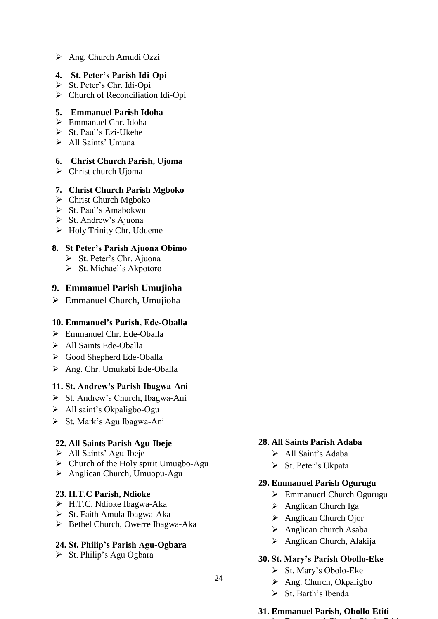Ang. Church Amudi Ozzi

## **4. St. Peter's Parish Idi-Opi**

- St. Peter"s Chr. Idi-Opi
- Church of Reconciliation Idi-Opi

## **5. Emmanuel Parish Idoha**

- $\triangleright$  Emmanuel Chr. Idoha
- $\triangleright$  St. Paul's Ezi-Ukehe
- $\triangleright$  All Saints' Umuna

## **6. Christ Church Parish, Ujoma**

 $\triangleright$  Christ church Ujoma

## **7. Christ Church Parish Mgboko**

- $\triangleright$  Christ Church Mgboko
- $\triangleright$  St. Paul's Amabokwu
- $\triangleright$  St. Andrew's Ajuona
- $\triangleright$  Holy Trinity Chr. Udueme

## **8. St Peter's Parish Ajuona Obimo**

- $\triangleright$  St. Peter's Chr. Ajuona
- $\triangleright$  St. Michael's Akpotoro

## **9. Emmanuel Parish Umujioha**

Emmanuel Church, Umujioha

## **10. Emmanuel's Parish, Ede-Oballa**

- Emmanuel Chr. Ede-Oballa
- > All Saints Ede-Oballa
- Good Shepherd Ede-Oballa
- Ang. Chr. Umukabi Ede-Oballa

## **11. St. Andrew's Parish Ibagwa-Ani**

- $\triangleright$  St. Andrew's Church, Ibagwa-Ani
- > All saint's Okpaligbo-Ogu
- St. Mark"s Agu Ibagwa-Ani

## **22. All Saints Parish Agu-Ibeje**

- $\triangleright$  All Saints' Agu-Ibeje
- $\triangleright$  Church of the Holy spirit Umugbo-Agu
- Anglican Church, Umuopu-Agu

## **23. H.T.C Parish, Ndioke**

- H.T.C. Ndioke Ibagwa-Aka
- $\triangleright$  St. Faith Amula Ibagwa-Aka
- $\triangleright$  Bethel Church, Owerre Ibagwa-Aka

## **24. St. Philip's Parish Agu-Ogbara**

 $\triangleright$  St. Philip's Agu Ogbara

## **28. All Saints Parish Adaba**

- > All Saint's Adaba
- $\triangleright$  St. Peter's Ukpata

## **29. Emmanuel Parish Ogurugu**

- Emmanuerl Church Ogurugu
- Anglican Church Iga
- Anglican Church Ojor
- $\triangleright$  Anglican church Asaba
- $\triangleright$  Anglican Church, Alakija

## **30. St. Mary's Parish Obollo-Eke**

- $\triangleright$  St. Mary's Obolo-Eke
- $\triangleright$  Ang. Church, Okpaligbo
- $\triangleright$  St. Barth's Ibenda

### **31. Emmanuel Parish, Obollo-Etiti** Emmanuerl Church, Obolo-Etiti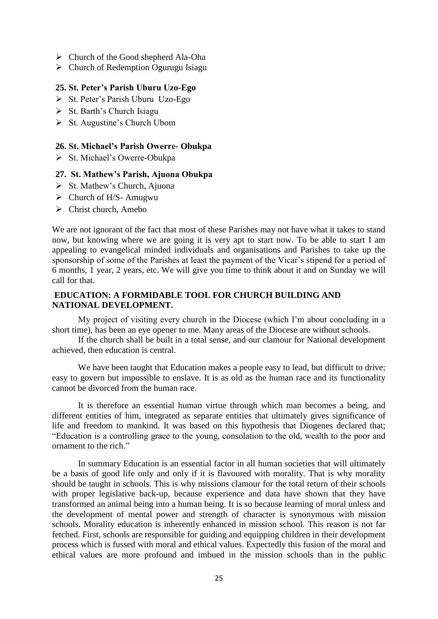- $\triangleright$  Church of the Good shepherd Ala-Oha
- $\triangleright$  Church of Redemption Ogurugu Isiagu

#### **25. St. Peter's Parish Uburu Uzo-Ego**

- $\triangleright$  St. Peter's Parish Uburu Uzo-Ego
- $\triangleright$  St. Barth's Church Isiagu
- $\triangleright$  St. Augustine's Church Ubom

#### **26. St. Michael's Parish Owerre- Obukpa**

 $\triangleright$  St. Michael's Owerre-Obukpa

### **27. St. Mathew's Parish, Ajuona Obukpa**

- $\triangleright$  St. Mathew's Church, Ajuona
- $\triangleright$  Church of H/S-Amugwu
- $\triangleright$  Christ church, Amebo

We are not ignorant of the fact that most of these Parishes may not have what it takes to stand now, but knowing where we are going it is very apt to start now. To be able to start I am appealing to evangelical minded individuals and organisations and Parishes to take up the sponsorship of some of the Parishes at least the payment of the Vicar's stipend for a period of 6 months, 1 year, 2 years, etc. We will give you time to think about it and on Sunday we will call for that.

### **EDUCATION: A FORMIDABLE TOOL FOR CHURCH BUILDING AND NATIONAL DEVELOPMENT.**

My project of visiting every church in the Diocese (which I"m about concluding in a short time), has been an eye opener to me. Many areas of the Diocese are without schools.

If the church shall be built in a total sense, and our clamour for National development achieved, then education is central.

We have been taught that Education makes a people easy to lead, but difficult to drive; easy to govern but impossible to enslave. It is as old as the human race and its functionality cannot be divorced from the human race.

It is therefore an essential human virtue through which man becomes a being, and different entities of him, integrated as separate entities that ultimately gives significance of life and freedom to mankind. It was based on this hypothesis that Diogenes declared that; "Education is a controlling grace to the young, consolation to the old, wealth to the poor and ornament to the rich."

In summary Education is an essential factor in all human societies that will ultimately be a basis of good life only and only if it is flavoured with morality. That is why morality should be taught in schools. This is why missions clamour for the total return of their schools with proper legislative back-up, because experience and data have shown that they have transformed an animal being into a human being. It is so because learning of moral unless and the development of mental power and strength of character is synonymous with mission schools. Morality education is inherently enhanced in mission school. This reason is not far fetched. First, schools are responsible for guiding and equipping children in their development process which is fussed with moral and ethical values. Expectedly this fusion of the moral and ethical values are more profound and imbued in the mission schools than in the public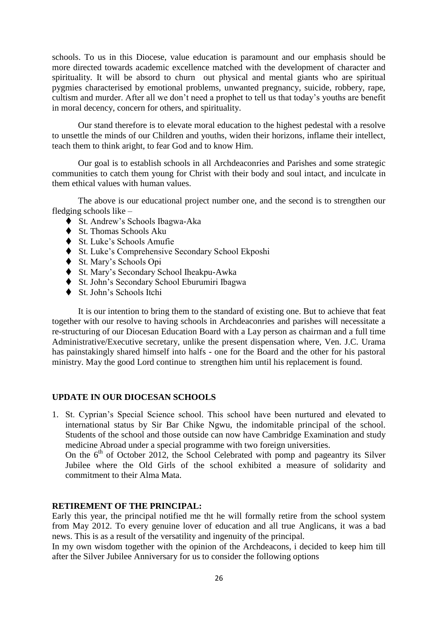schools. To us in this Diocese, value education is paramount and our emphasis should be more directed towards academic excellence matched with the development of character and spirituality. It will be absord to churn out physical and mental giants who are spiritual pygmies characterised by emotional problems, unwanted pregnancy, suicide, robbery, rape, cultism and murder. After all we don"t need a prophet to tell us that today"s youths are benefit in moral decency, concern for others, and spirituality.

Our stand therefore is to elevate moral education to the highest pedestal with a resolve to unsettle the minds of our Children and youths, widen their horizons, inflame their intellect, teach them to think aright, to fear God and to know Him.

Our goal is to establish schools in all Archdeaconries and Parishes and some strategic communities to catch them young for Christ with their body and soul intact, and inculcate in them ethical values with human values.

The above is our educational project number one, and the second is to strengthen our fledging schools like –

- ◆ St. Andrew's Schools Ibagwa-Aka
- ◆ St. Thomas Schools Aku
- ◆ St. Luke's Schools Amufie
- $\blacklozenge$  St. Luke's Comprehensive Secondary School Ekposhi
- St. Mary"s Schools Opi
- St. Mary"s Secondary School Iheakpu-Awka
- St. John"s Secondary School Eburumiri Ibagwa
- ◆ St. John's Schools Itchi

It is our intention to bring them to the standard of existing one. But to achieve that feat together with our resolve to having schools in Archdeaconries and parishes will necessitate a re-structuring of our Diocesan Education Board with a Lay person as chairman and a full time Administrative/Executive secretary, unlike the present dispensation where, Ven. J.C. Urama has painstakingly shared himself into halfs - one for the Board and the other for his pastoral ministry. May the good Lord continue to strengthen him until his replacement is found.

## **UPDATE IN OUR DIOCESAN SCHOOLS**

1. St. Cyprian"s Special Science school. This school have been nurtured and elevated to international status by Sir Bar Chike Ngwu, the indomitable principal of the school. Students of the school and those outside can now have Cambridge Examination and study medicine Abroad under a special programme with two foreign universities.

On the  $6<sup>th</sup>$  of October 2012, the School Celebrated with pomp and pageantry its Silver Jubilee where the Old Girls of the school exhibited a measure of solidarity and commitment to their Alma Mata.

### **RETIREMENT OF THE PRINCIPAL:**

Early this year, the principal notified me tht he will formally retire from the school system from May 2012. To every genuine lover of education and all true Anglicans, it was a bad news. This is as a result of the versatility and ingenuity of the principal.

In my own wisdom together with the opinion of the Archdeacons, i decided to keep him till after the Silver Jubilee Anniversary for us to consider the following options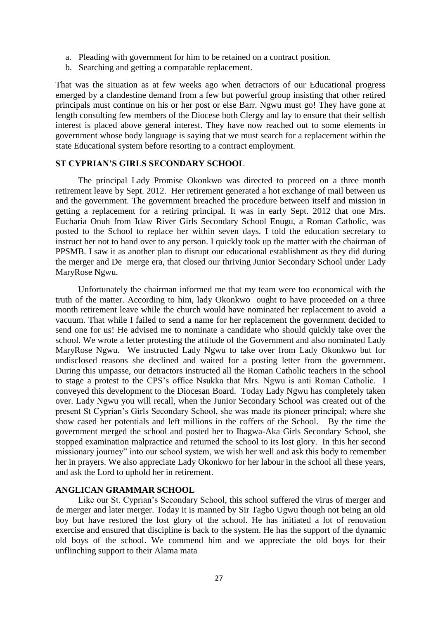- a. Pleading with government for him to be retained on a contract position.
- b. Searching and getting a comparable replacement.

That was the situation as at few weeks ago when detractors of our Educational progress emerged by a clandestine demand from a few but powerful group insisting that other retired principals must continue on his or her post or else Barr. Ngwu must go! They have gone at length consulting few members of the Diocese both Clergy and lay to ensure that their selfish interest is placed above general interest. They have now reached out to some elements in government whose body language is saying that we must search for a replacement within the state Educational system before resorting to a contract employment.

### **ST CYPRIAN'S GIRLS SECONDARY SCHOOL**

The principal Lady Promise Okonkwo was directed to proceed on a three month retirement leave by Sept. 2012. Her retirement generated a hot exchange of mail between us and the government. The government breached the procedure between itself and mission in getting a replacement for a retiring principal. It was in early Sept. 2012 that one Mrs. Eucharia Onuh from Idaw River Girls Secondary School Enugu, a Roman Catholic, was posted to the School to replace her within seven days. I told the education secretary to instruct her not to hand over to any person. I quickly took up the matter with the chairman of PPSMB. I saw it as another plan to disrupt our educational establishment as they did during the merger and De merge era, that closed our thriving Junior Secondary School under Lady MaryRose Ngwu.

Unfortunately the chairman informed me that my team were too economical with the truth of the matter. According to him, lady Okonkwo ought to have proceeded on a three month retirement leave while the church would have nominated her replacement to avoid a vacuum. That while I failed to send a name for her replacement the government decided to send one for us! He advised me to nominate a candidate who should quickly take over the school. We wrote a letter protesting the attitude of the Government and also nominated Lady MaryRose Ngwu. We instructed Lady Ngwu to take over from Lady Okonkwo but for undisclosed reasons she declined and waited for a posting letter from the government. During this umpasse, our detractors instructed all the Roman Catholic teachers in the school to stage a protest to the CPS"s office Nsukka that Mrs. Ngwu is anti Roman Catholic. I conveyed this development to the Diocesan Board. Today Lady Ngwu has completely taken over. Lady Ngwu you will recall, when the Junior Secondary School was created out of the present St Cyprian"s Girls Secondary School, she was made its pioneer principal; where she show cased her potentials and left millions in the coffers of the School. By the time the government merged the school and posted her to Ibagwa-Aka Girls Secondary School, she stopped examination malpractice and returned the school to its lost glory. In this her second missionary journey" into our school system, we wish her well and ask this body to remember her in prayers. We also appreciate Lady Okonkwo for her labour in the school all these years, and ask the Lord to uphold her in retirement.

### **ANGLICAN GRAMMAR SCHOOL**

Like our St. Cyprian"s Secondary School, this school suffered the virus of merger and de merger and later merger. Today it is manned by Sir Tagbo Ugwu though not being an old boy but have restored the lost glory of the school. He has initiated a lot of renovation exercise and ensured that discipline is back to the system. He has the support of the dynamic old boys of the school. We commend him and we appreciate the old boys for their unflinching support to their Alama mata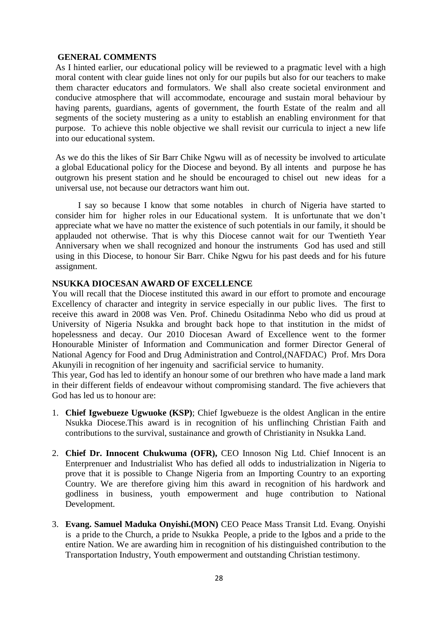#### **GENERAL COMMENTS**

As I hinted earlier, our educational policy will be reviewed to a pragmatic level with a high moral content with clear guide lines not only for our pupils but also for our teachers to make them character educators and formulators. We shall also create societal environment and conducive atmosphere that will accommodate, encourage and sustain moral behaviour by having parents, guardians, agents of government, the fourth Estate of the realm and all segments of the society mustering as a unity to establish an enabling environment for that purpose. To achieve this noble objective we shall revisit our curricula to inject a new life into our educational system.

As we do this the likes of Sir Barr Chike Ngwu will as of necessity be involved to articulate a global Educational policy for the Diocese and beyond. By all intents and purpose he has outgrown his present station and he should be encouraged to chisel out new ideas for a universal use, not because our detractors want him out.

I say so because I know that some notables in church of Nigeria have started to consider him for higher roles in our Educational system. It is unfortunate that we don"t appreciate what we have no matter the existence of such potentials in our family, it should be applauded not otherwise. That is why this Diocese cannot wait for our Twentieth Year Anniversary when we shall recognized and honour the instruments God has used and still using in this Diocese, to honour Sir Barr. Chike Ngwu for his past deeds and for his future assignment.

### **NSUKKA DIOCESAN AWARD OF EXCELLENCE**

You will recall that the Diocese instituted this award in our effort to promote and encourage Excellency of character and integrity in service especially in our public lives. The first to receive this award in 2008 was Ven. Prof. Chinedu Ositadinma Nebo who did us proud at University of Nigeria Nsukka and brought back hope to that institution in the midst of hopelessness and decay. Our 2010 Diocesan Award of Excellence went to the former Honourable Minister of Information and Communication and former Director General of National Agency for Food and Drug Administration and Control,(NAFDAC) Prof. Mrs Dora Akunyili in recognition of her ingenuity and sacrificial service to humanity.

This year, God has led to identify an honour some of our brethren who have made a land mark in their different fields of endeavour without compromising standard. The five achievers that God has led us to honour are:

- 1. **Chief Igwebueze Ugwuoke (KSP)**; Chief Igwebueze is the oldest Anglican in the entire Nsukka Diocese.This award is in recognition of his unflinching Christian Faith and contributions to the survival, sustainance and growth of Christianity in Nsukka Land.
- 2. **Chief Dr. Innocent Chukwuma (OFR),** CEO Innoson Nig Ltd. Chief Innocent is an Enterprenuer and Industrialist Who has defied all odds to industrialization in Nigeria to prove that it is possible to Change Nigeria from an Importing Country to an exporting Country. We are therefore giving him this award in recognition of his hardwork and godliness in business, youth empowerment and huge contribution to National Development.
- 3. **Evang. Samuel Maduka Onyishi.(MON)** CEO Peace Mass Transit Ltd. Evang. Onyishi is a pride to the Church, a pride to Nsukka People, a pride to the Igbos and a pride to the entire Nation. We are awarding him in recognition of his distinguished contribution to the Transportation Industry, Youth empowerment and outstanding Christian testimony.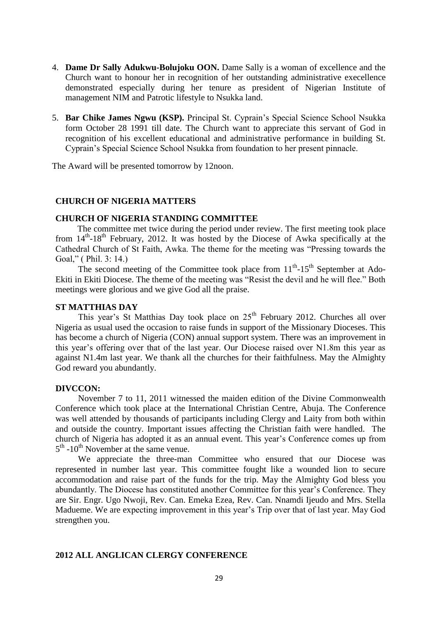- 4. **Dame Dr Sally Adukwu-Bolujoku OON.** Dame Sally is a woman of excellence and the Church want to honour her in recognition of her outstanding administrative execellence demonstrated especially during her tenure as president of Nigerian Institute of management NIM and Patrotic lifestyle to Nsukka land.
- 5. **Bar Chike James Ngwu (KSP).** Principal St. Cyprain"s Special Science School Nsukka form October 28 1991 till date. The Church want to appreciate this servant of God in recognition of his excellent educational and administrative performance in building St. Cyprain"s Special Science School Nsukka from foundation to her present pinnacle.

The Award will be presented tomorrow by 12noon.

#### **CHURCH OF NIGERIA MATTERS**

#### **CHURCH OF NIGERIA STANDING COMMITTEE**

The committee met twice during the period under review. The first meeting took place from 14<sup>th</sup>-18<sup>th</sup> February, 2012. It was hosted by the Diocese of Awka specifically at the Cathedral Church of St Faith, Awka. The theme for the meeting was "Pressing towards the Goal," ( Phil. 3: 14.)

The second meeting of the Committee took place from  $11<sup>th</sup>$ -15<sup>th</sup> September at Ado-Ekiti in Ekiti Diocese. The theme of the meeting was "Resist the devil and he will flee." Both meetings were glorious and we give God all the praise.

#### **ST MATTHIAS DAY**

This year's St Matthias Day took place on 25<sup>th</sup> February 2012. Churches all over Nigeria as usual used the occasion to raise funds in support of the Missionary Dioceses. This has become a church of Nigeria (CON) annual support system. There was an improvement in this year"s offering over that of the last year. Our Diocese raised over N1.8m this year as against N1.4m last year. We thank all the churches for their faithfulness. May the Almighty God reward you abundantly.

#### **DIVCCON:**

November 7 to 11, 2011 witnessed the maiden edition of the Divine Commonwealth Conference which took place at the International Christian Centre, Abuja. The Conference was well attended by thousands of participants including Clergy and Laity from both within and outside the country. Important issues affecting the Christian faith were handled. The church of Nigeria has adopted it as an annual event. This year"s Conference comes up from  $5<sup>th</sup>$  -10<sup>th</sup> November at the same venue.

We appreciate the three-man Committee who ensured that our Diocese was represented in number last year. This committee fought like a wounded lion to secure accommodation and raise part of the funds for the trip. May the Almighty God bless you abundantly. The Diocese has constituted another Committee for this year"s Conference. They are Sir. Engr. Ugo Nwoji, Rev. Can. Emeka Ezea, Rev. Can. Nnamdi Ijeudo and Mrs. Stella Madueme. We are expecting improvement in this year"s Trip over that of last year. May God strengthen you.

#### **2012 ALL ANGLICAN CLERGY CONFERENCE**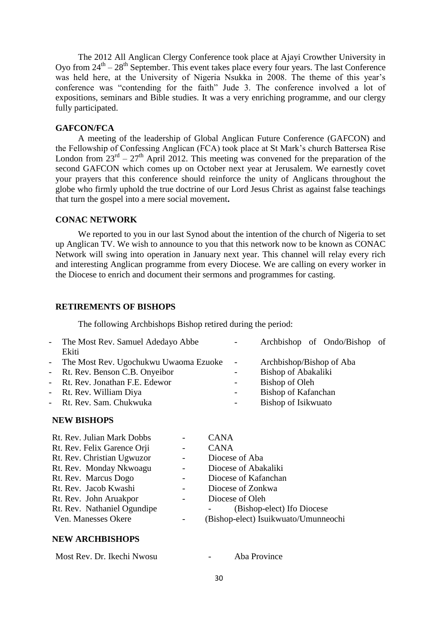The 2012 All Anglican Clergy Conference took place at Ajayi Crowther University in Oyo from  $24<sup>th</sup> - 28<sup>th</sup>$  September. This event takes place every four years. The last Conference was held here, at the University of Nigeria Nsukka in 2008. The theme of this year's conference was "contending for the faith" Jude 3. The conference involved a lot of expositions, seminars and Bible studies. It was a very enriching programme, and our clergy fully participated.

### **GAFCON/FCA**

A meeting of the leadership of Global Anglican Future Conference (GAFCON) and the Fellowship of Confessing Anglican (FCA) took place at St Mark"s church Battersea Rise London from  $23<sup>rd</sup> - 27<sup>th</sup>$  April 2012. This meeting was convened for the preparation of the second GAFCON which comes up on October next year at Jerusalem. We earnestly covet your prayers that this conference should reinforce the unity of Anglicans throughout the globe who firmly uphold the true doctrine of our Lord Jesus Christ as against false teachings that turn the gospel into a mere social movement**.**

#### **CONAC NETWORK**

We reported to you in our last Synod about the intention of the church of Nigeria to set up Anglican TV. We wish to announce to you that this network now to be known as CONAC Network will swing into operation in January next year. This channel will relay every rich and interesting Anglican programme from every Diocese. We are calling on every worker in the Diocese to enrich and document their sermons and programmes for casting.

#### **RETIREMENTS OF BISHOPS**

The following Archbishops Bishop retired during the period:

| - The Most Rev. Samuel Adedayo Abbe     | $\sim$ 100 $\mu$         | Archbishop of Ondo/Bishop of |
|-----------------------------------------|--------------------------|------------------------------|
| Ekiti                                   |                          |                              |
| - The Most Rev. Ugochukwu Uwaoma Ezuoke | $\sim$                   | Archbishop/Bishop of Aba     |
| - Rt. Rev. Benson C.B. Onyeibor         | $\overline{\phantom{a}}$ | <b>Bishop of Abakaliki</b>   |
| - Rt. Rev. Jonathan F.E. Edewor         | $\overline{\phantom{a}}$ | Bishop of Oleh               |
| - Rt. Rev. William Diya                 | $\overline{a}$           | Bishop of Kafanchan          |
| - Rt. Rev. Sam. Chukwuka                | $\sim$ $-$               | Bishop of Isikwuato          |
|                                         |                          |                              |

#### **NEW BISHOPS**

| Rt. Rev. Julian Mark Dobbs  |            | <b>CANA</b>                          |
|-----------------------------|------------|--------------------------------------|
| Rt. Rev. Felix Garence Orji |            | <b>CANA</b>                          |
| Rt. Rev. Christian Ugwuzor  |            | Diocese of Aba                       |
| Rt. Rev. Monday Nkwoagu     |            | Diocese of Abakaliki                 |
| Rt. Rev. Marcus Dogo        |            | Diocese of Kafanchan                 |
| Rt. Rev. Jacob Kwashi       | $\sim 100$ | Diocese of Zonkwa                    |
| Rt. Rev. John Aruakpor      | $\sim 100$ | Diocese of Oleh                      |
| Rt. Rev. Nathaniel Ogundipe |            | (Bishop-elect) Ifo Diocese           |
| Ven. Manesses Okere         |            | (Bishop-elect) Isuikwuato/Umunneochi |
|                             |            |                                      |

#### **NEW ARCHBISHOPS**

| Most Rev. Dr. Ikechi Nwosu | - | Aba Province |
|----------------------------|---|--------------|
|----------------------------|---|--------------|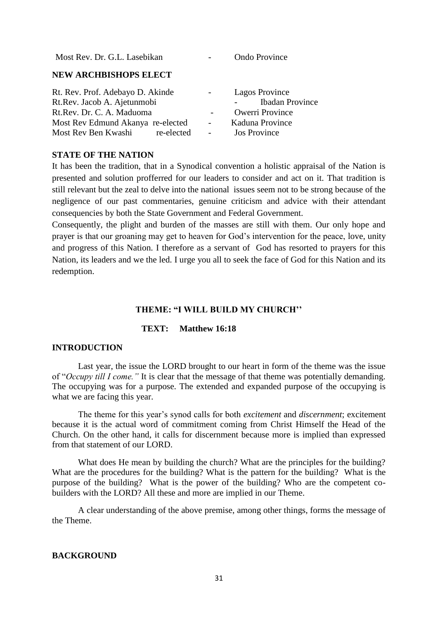| Most Rev. Dr. G.L. Lasebikan                                                                                                      |               | <b>Ondo Province</b>                                                                         |
|-----------------------------------------------------------------------------------------------------------------------------------|---------------|----------------------------------------------------------------------------------------------|
| <b>NEW ARCHBISHOPS ELECT</b>                                                                                                      |               |                                                                                              |
| Rt. Rev. Prof. Adebayo D. Akinde<br>Rt.Rev. Jacob A. Ajetunmobi<br>Rt.Rev. Dr. C. A. Maduoma<br>Most Rev Edmund Akanya re-elected | $\frac{1}{2}$ | <b>Lagos Province</b><br><b>Ibadan Province</b><br><b>Owerri Province</b><br>Kaduna Province |
| Most Rev Ben Kwashi re-elected                                                                                                    | $\frac{1}{2}$ | <b>Jos Province</b>                                                                          |

#### **STATE OF THE NATION**

It has been the tradition, that in a Synodical convention a holistic appraisal of the Nation is presented and solution profferred for our leaders to consider and act on it. That tradition is still relevant but the zeal to delve into the national issues seem not to be strong because of the negligence of our past commentaries, genuine criticism and advice with their attendant consequencies by both the State Government and Federal Government.

Consequently, the plight and burden of the masses are still with them. Our only hope and prayer is that our groaning may get to heaven for God"s intervention for the peace, love, unity and progress of this Nation. I therefore as a servant of God has resorted to prayers for this Nation, its leaders and we the led. I urge you all to seek the face of God for this Nation and its redemption.

#### **THEME: "I WILL BUILD MY CHURCH''**

#### **TEXT: Matthew 16:18**

#### **INTRODUCTION**

Last year, the issue the LORD brought to our heart in form of the theme was the issue of "*Occupy till I come."* It is clear that the message of that theme was potentially demanding. The occupying was for a purpose. The extended and expanded purpose of the occupying is what we are facing this year.

 The theme for this year"s synod calls for both *excitement* and *discernment*; excitement because it is the actual word of commitment coming from Christ Himself the Head of the Church. On the other hand, it calls for discernment because more is implied than expressed from that statement of our LORD.

What does He mean by building the church? What are the principles for the building? What are the procedures for the building? What is the pattern for the building? What is the purpose of the building? What is the power of the building? Who are the competent cobuilders with the LORD? All these and more are implied in our Theme.

A clear understanding of the above premise, among other things, forms the message of the Theme.

#### **BACKGROUND**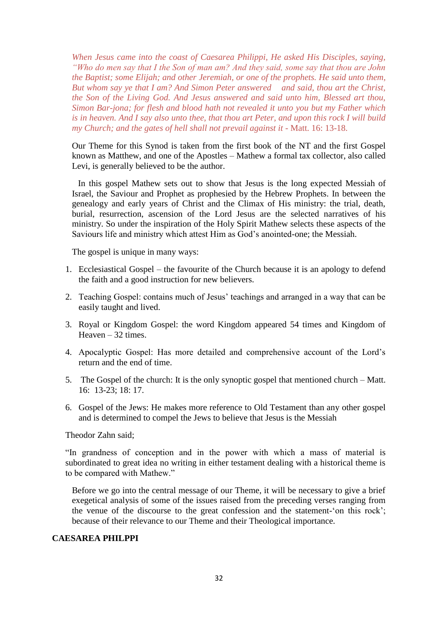*When Jesus came into the coast of Caesarea Philippi, He asked His Disciples, saying, "Who do men say that I the Son of man am? And they said, some say that thou are John the Baptist; some Elijah; and other Jeremiah, or one of the prophets. He said unto them, But whom say ye that I am? And Simon Peter answered and said, thou art the Christ, the Son of the Living God. And Jesus answered and said unto him, Blessed art thou, Simon Bar-jona; for flesh and blood hath not revealed it unto you but my Father which is in heaven. And I say also unto thee, that thou art Peter, and upon this rock I will build my Church; and the gates of hell shall not prevail against it* - Matt. 16: 13-18.

Our Theme for this Synod is taken from the first book of the NT and the first Gospel known as Matthew, and one of the Apostles – Mathew a formal tax collector, also called Levi, is generally believed to be the author.

In this gospel Mathew sets out to show that Jesus is the long expected Messiah of Israel, the Saviour and Prophet as prophesied by the Hebrew Prophets. In between the genealogy and early years of Christ and the Climax of His ministry: the trial, death, burial, resurrection, ascension of the Lord Jesus are the selected narratives of his ministry. So under the inspiration of the Holy Spirit Mathew selects these aspects of the Saviours life and ministry which attest Him as God"s anointed-one; the Messiah.

The gospel is unique in many ways:

- 1. Ecclesiastical Gospel the favourite of the Church because it is an apology to defend the faith and a good instruction for new believers.
- 2. Teaching Gospel: contains much of Jesus' teachings and arranged in a way that can be easily taught and lived.
- 3. Royal or Kingdom Gospel: the word Kingdom appeared 54 times and Kingdom of Heaven – 32 times.
- 4. Apocalyptic Gospel: Has more detailed and comprehensive account of the Lord"s return and the end of time.
- 5. The Gospel of the church: It is the only synoptic gospel that mentioned church Matt. 16: 13-23; 18: 17.
- 6. Gospel of the Jews: He makes more reference to Old Testament than any other gospel and is determined to compel the Jews to believe that Jesus is the Messiah

Theodor Zahn said;

"In grandness of conception and in the power with which a mass of material is subordinated to great idea no writing in either testament dealing with a historical theme is to be compared with Mathew."

Before we go into the central message of our Theme, it will be necessary to give a brief exegetical analysis of some of the issues raised from the preceding verses ranging from the venue of the discourse to the great confession and the statement-"on this rock"; because of their relevance to our Theme and their Theological importance.

## **CAESAREA PHILPPI**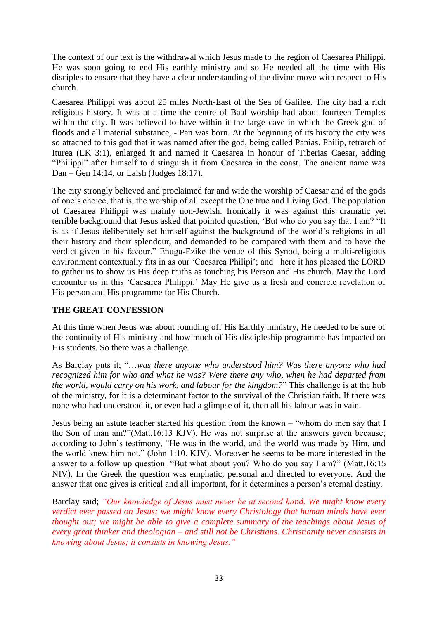The context of our text is the withdrawal which Jesus made to the region of Caesarea Philippi. He was soon going to end His earthly ministry and so He needed all the time with His disciples to ensure that they have a clear understanding of the divine move with respect to His church.

Caesarea Philippi was about 25 miles North-East of the Sea of Galilee. The city had a rich religious history. It was at a time the centre of Baal worship had about fourteen Temples within the city. It was believed to have within it the large cave in which the Greek god of floods and all material substance, - Pan was born. At the beginning of its history the city was so attached to this god that it was named after the god, being called Panias. Philip, tetrarch of Iturea (LK 3:1), enlarged it and named it Caesarea in honour of Tiberias Caesar, adding "Philippi" after himself to distinguish it from Caesarea in the coast. The ancient name was Dan – Gen 14:14, or Laish (Judges 18:17).

The city strongly believed and proclaimed far and wide the worship of Caesar and of the gods of one"s choice, that is, the worship of all except the One true and Living God. The population of Caesarea Philippi was mainly non-Jewish. Ironically it was against this dramatic yet terrible background that Jesus asked that pointed question, "But who do you say that I am? "It is as if Jesus deliberately set himself against the background of the world"s religions in all their history and their splendour, and demanded to be compared with them and to have the verdict given in his favour." Enugu-Ezike the venue of this Synod, being a multi-religious environment contextually fits in as our "Caesarea Philipi"; and here it has pleased the LORD to gather us to show us His deep truths as touching his Person and His church. May the Lord encounter us in this "Caesarea Philippi." May He give us a fresh and concrete revelation of His person and His programme for His Church.

## **THE GREAT CONFESSION**

At this time when Jesus was about rounding off His Earthly ministry, He needed to be sure of the continuity of His ministry and how much of His discipleship programme has impacted on His students. So there was a challenge.

As Barclay puts it; "…*was there anyone who understood him? Was there anyone who had recognized him for who and what he was? Were there any who, when he had departed from the world, would carry on his work, and labour for the kingdom?*" This challenge is at the hub of the ministry, for it is a determinant factor to the survival of the Christian faith. If there was none who had understood it, or even had a glimpse of it, then all his labour was in vain.

Jesus being an astute teacher started his question from the known – "whom do men say that I the Son of man am?"(Matt.16:13 KJV). He was not surprise at the answers given because; according to John"s testimony, "He was in the world, and the world was made by Him, and the world knew him not." (John 1:10. KJV). Moreover he seems to be more interested in the answer to a follow up question. "But what about you? Who do you say I am?" (Matt.16:15 NIV). In the Greek the question was emphatic, personal and directed to everyone. And the answer that one gives is critical and all important, for it determines a person"s eternal destiny.

Barclay said; *"Our knowledge of Jesus must never be at second hand. We might know every verdict ever passed on Jesus; we might know every Christology that human minds have ever thought out; we might be able to give a complete summary of the teachings about Jesus of every great thinker and theologian – and still not be Christians. Christianity never consists in knowing about Jesus; it consists in knowing Jesus."*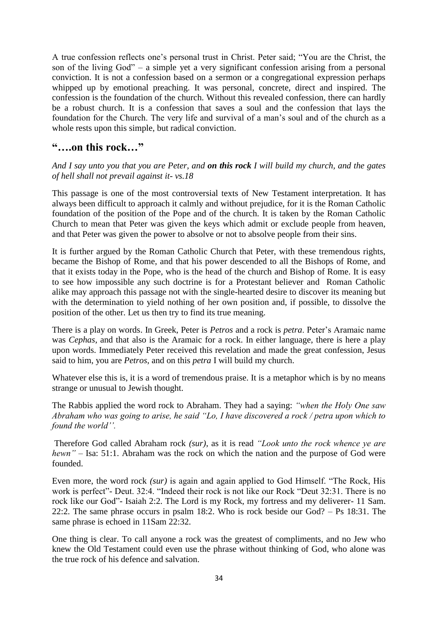A true confession reflects one"s personal trust in Christ. Peter said; "You are the Christ, the son of the living God" – a simple yet a very significant confession arising from a personal conviction. It is not a confession based on a sermon or a congregational expression perhaps whipped up by emotional preaching. It was personal, concrete, direct and inspired. The confession is the foundation of the church. Without this revealed confession, there can hardly be a robust church. It is a confession that saves a soul and the confession that lays the foundation for the Church. The very life and survival of a man"s soul and of the church as a whole rests upon this simple, but radical conviction.

## **"….on this rock…"**

*And I say unto you that you are Peter, and on this rock I will build my church, and the gates of hell shall not prevail against it- vs.18*

This passage is one of the most controversial texts of New Testament interpretation. It has always been difficult to approach it calmly and without prejudice, for it is the Roman Catholic foundation of the position of the Pope and of the church. It is taken by the Roman Catholic Church to mean that Peter was given the keys which admit or exclude people from heaven, and that Peter was given the power to absolve or not to absolve people from their sins.

It is further argued by the Roman Catholic Church that Peter, with these tremendous rights, became the Bishop of Rome, and that his power descended to all the Bishops of Rome, and that it exists today in the Pope, who is the head of the church and Bishop of Rome. It is easy to see how impossible any such doctrine is for a Protestant believer and Roman Catholic alike may approach this passage not with the single-hearted desire to discover its meaning but with the determination to yield nothing of her own position and, if possible, to dissolve the position of the other. Let us then try to find its true meaning.

There is a play on words. In Greek, Peter is *Petros* and a rock is *petra*. Peter"s Aramaic name was *Cephas*, and that also is the Aramaic for a rock. In either language, there is here a play upon words. Immediately Peter received this revelation and made the great confession, Jesus said to him, you are *Petros*, and on this *petra* I will build my church.

Whatever else this is, it is a word of tremendous praise. It is a metaphor which is by no means strange or unusual to Jewish thought.

The Rabbis applied the word rock to Abraham. They had a saying: *"when the Holy One saw Abraham who was going to arise, he said "Lo, I have discovered a rock / petra upon which to found the world''.*

Therefore God called Abraham rock *(sur)*, as it is read *"Look unto the rock whence ye are hewn" –* Isa: 51:1. Abraham was the rock on which the nation and the purpose of God were founded.

Even more, the word rock *(sur)* is again and again applied to God Himself. "The Rock, His work is perfect"- Deut. 32:4. "Indeed their rock is not like our Rock "Deut 32:31. There is no rock like our God"- Isaiah 2:2. The Lord is my Rock, my fortress and my deliverer- 11 Sam. 22:2. The same phrase occurs in psalm 18:2. Who is rock beside our God? – Ps 18:31. The same phrase is echoed in 11Sam 22:32.

One thing is clear. To call anyone a rock was the greatest of compliments, and no Jew who knew the Old Testament could even use the phrase without thinking of God, who alone was the true rock of his defence and salvation.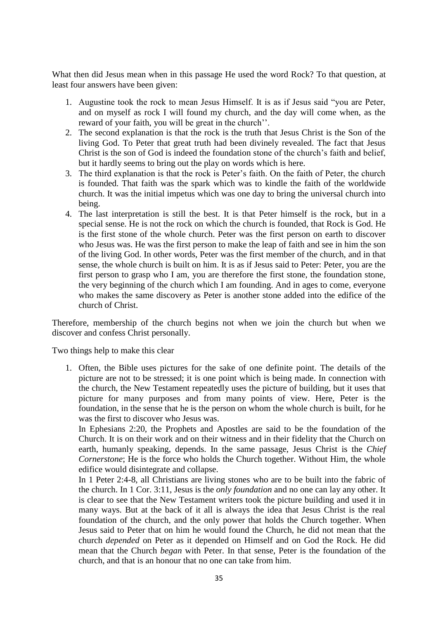What then did Jesus mean when in this passage He used the word Rock? To that question, at least four answers have been given:

- 1. Augustine took the rock to mean Jesus Himself. It is as if Jesus said "you are Peter, and on myself as rock I will found my church, and the day will come when, as the reward of your faith, you will be great in the church".
- 2. The second explanation is that the rock is the truth that Jesus Christ is the Son of the living God. To Peter that great truth had been divinely revealed. The fact that Jesus Christ is the son of God is indeed the foundation stone of the church"s faith and belief, but it hardly seems to bring out the play on words which is here.
- 3. The third explanation is that the rock is Peter"s faith. On the faith of Peter, the church is founded. That faith was the spark which was to kindle the faith of the worldwide church. It was the initial impetus which was one day to bring the universal church into being.
- 4. The last interpretation is still the best. It is that Peter himself is the rock, but in a special sense. He is not the rock on which the church is founded, that Rock is God. He is the first stone of the whole church. Peter was the first person on earth to discover who Jesus was. He was the first person to make the leap of faith and see in him the son of the living God. In other words, Peter was the first member of the church, and in that sense, the whole church is built on him. It is as if Jesus said to Peter: Peter, you are the first person to grasp who I am, you are therefore the first stone, the foundation stone, the very beginning of the church which I am founding. And in ages to come, everyone who makes the same discovery as Peter is another stone added into the edifice of the church of Christ.

Therefore, membership of the church begins not when we join the church but when we discover and confess Christ personally.

Two things help to make this clear

1. Often, the Bible uses pictures for the sake of one definite point. The details of the picture are not to be stressed; it is one point which is being made. In connection with the church, the New Testament repeatedly uses the picture of building, but it uses that picture for many purposes and from many points of view. Here, Peter is the foundation, in the sense that he is the person on whom the whole church is built, for he was the first to discover who Jesus was.

In Ephesians 2:20, the Prophets and Apostles are said to be the foundation of the Church. It is on their work and on their witness and in their fidelity that the Church on earth, humanly speaking, depends. In the same passage, Jesus Christ is the *Chief Cornerstone*; He is the force who holds the Church together. Without Him, the whole edifice would disintegrate and collapse.

In 1 Peter 2:4-8, all Christians are living stones who are to be built into the fabric of the church. In 1 Cor. 3:11, Jesus is the *only foundation* and no one can lay any other. It is clear to see that the New Testament writers took the picture building and used it in many ways. But at the back of it all is always the idea that Jesus Christ is the real foundation of the church, and the only power that holds the Church together. When Jesus said to Peter that on him he would found the Church, he did not mean that the church *depended* on Peter as it depended on Himself and on God the Rock. He did mean that the Church *began* with Peter. In that sense, Peter is the foundation of the church, and that is an honour that no one can take from him.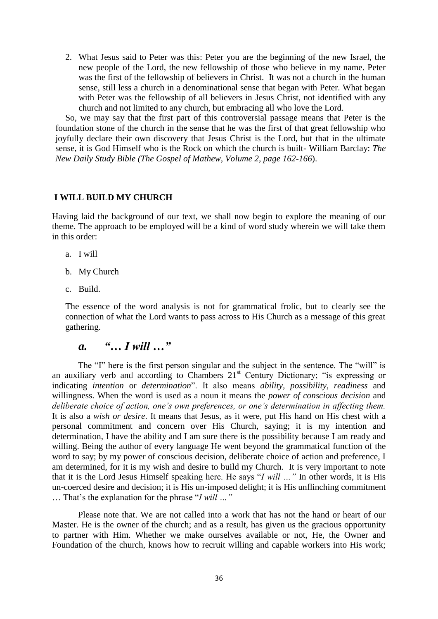2. What Jesus said to Peter was this: Peter you are the beginning of the new Israel, the new people of the Lord, the new fellowship of those who believe in my name. Peter was the first of the fellowship of believers in Christ. It was not a church in the human sense, still less a church in a denominational sense that began with Peter. What began with Peter was the fellowship of all believers in Jesus Christ, not identified with any church and not limited to any church, but embracing all who love the Lord.

So, we may say that the first part of this controversial passage means that Peter is the foundation stone of the church in the sense that he was the first of that great fellowship who joyfully declare their own discovery that Jesus Christ is the Lord, but that in the ultimate sense, it is God Himself who is the Rock on which the church is built- William Barclay: *The New Daily Study Bible (The Gospel of Mathew, Volume 2, page 162-166*).

### **I WILL BUILD MY CHURCH**

Having laid the background of our text, we shall now begin to explore the meaning of our theme. The approach to be employed will be a kind of word study wherein we will take them in this order:

- a. I will
- b. My Church
- c. Build.

The essence of the word analysis is not for grammatical frolic, but to clearly see the connection of what the Lord wants to pass across to His Church as a message of this great gathering.

## *a. "… I will …"*

The "I" here is the first person singular and the subject in the sentence. The "will" is an auxiliary verb and according to Chambers  $21<sup>st</sup>$  Century Dictionary; "is expressing or indicating *intention* or *determination*". It also means *ability, possibility, readiness* and willingness. When the word is used as a noun it means the *power of conscious decision* and *deliberate choice of action, one's own preferences, or one's determination in affecting them.* It is also a *wish or desire*. It means that Jesus, as it were, put His hand on His chest with a personal commitment and concern over His Church, saying; it is my intention and determination, I have the ability and I am sure there is the possibility because I am ready and willing. Being the author of every language He went beyond the grammatical function of the word to say; by my power of conscious decision, deliberate choice of action and preference, I am determined, for it is my wish and desire to build my Church. It is very important to note that it is the Lord Jesus Himself speaking here. He says "*I will …"* In other words, it is His un-coerced desire and decision; it is His un-imposed delight; it is His unflinching commitment … That"s the explanation for the phrase "*I will …"*

Please note that. We are not called into a work that has not the hand or heart of our Master. He is the owner of the church; and as a result, has given us the gracious opportunity to partner with Him. Whether we make ourselves available or not, He, the Owner and Foundation of the church, knows how to recruit willing and capable workers into His work;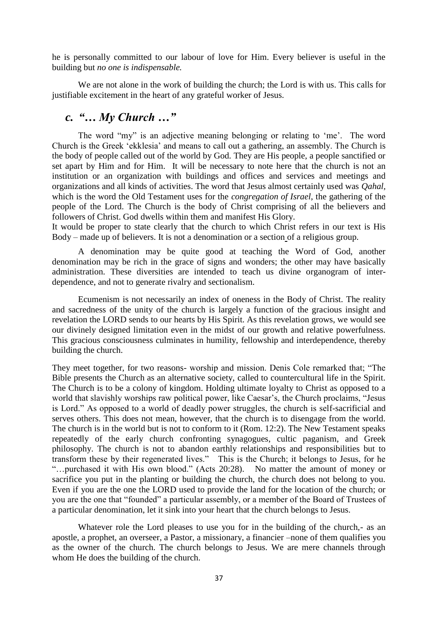he is personally committed to our labour of love for Him. Every believer is useful in the building but *no one is indispensable.*

We are not alone in the work of building the church; the Lord is with us. This calls for justifiable excitement in the heart of any grateful worker of Jesus.

## *c. "… My Church …"*

The word "my" is an adjective meaning belonging or relating to 'me'. The word Church is the Greek "ekklesia" and means to call out a gathering, an assembly. The Church is the body of people called out of the world by God. They are His people, a people sanctified or set apart by Him and for Him. It will be necessary to note here that the church is not an institution or an organization with buildings and offices and services and meetings and organizations and all kinds of activities. The word that Jesus almost certainly used was *Qahal,* which is the word the Old Testament uses for the *congregation of Israel*, the gathering of the people of the Lord. The Church is the body of Christ comprising of all the believers and followers of Christ. God dwells within them and manifest His Glory.

It would be proper to state clearly that the church to which Christ refers in our text is His Body – made up of believers. It is not a denomination or a section of a religious group.

A denomination may be quite good at teaching the Word of God, another denomination may be rich in the grace of signs and wonders; the other may have basically administration. These diversities are intended to teach us divine organogram of interdependence, and not to generate rivalry and sectionalism.

Ecumenism is not necessarily an index of oneness in the Body of Christ. The reality and sacredness of the unity of the church is largely a function of the gracious insight and revelation the LORD sends to our hearts by His Spirit. As this revelation grows, we would see our divinely designed limitation even in the midst of our growth and relative powerfulness. This gracious consciousness culminates in humility, fellowship and interdependence, thereby building the church.

They meet together, for two reasons- worship and mission. Denis Cole remarked that; "The Bible presents the Church as an alternative society, called to countercultural life in the Spirit. The Church is to be a colony of kingdom. Holding ultimate loyalty to Christ as opposed to a world that slavishly worships raw political power, like Caesar's, the Church proclaims, "Jesus is Lord." As opposed to a world of deadly power struggles, the church is self-sacrificial and serves others. This does not mean, however, that the church is to disengage from the world. The church is in the world but is not to conform to it (Rom. 12:2). The New Testament speaks repeatedly of the early church confronting synagogues, cultic paganism, and Greek philosophy. The church is not to abandon earthly relationships and responsibilities but to transform these by their regenerated lives." This is the Church; it belongs to Jesus, for he "…purchased it with His own blood." (Acts 20:28). No matter the amount of money or sacrifice you put in the planting or building the church, the church does not belong to you. Even if you are the one the LORD used to provide the land for the location of the church; or you are the one that "founded" a particular assembly, or a member of the Board of Trustees of a particular denomination, let it sink into your heart that the church belongs to Jesus.

Whatever role the Lord pleases to use you for in the building of the church,- as an apostle, a prophet, an overseer, a Pastor, a missionary, a financier –none of them qualifies you as the owner of the church. The church belongs to Jesus. We are mere channels through whom He does the building of the church.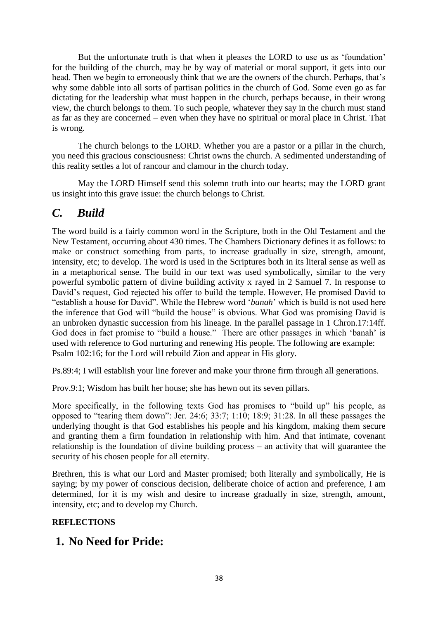But the unfortunate truth is that when it pleases the LORD to use us as "foundation" for the building of the church, may be by way of material or moral support, it gets into our head. Then we begin to erroneously think that we are the owners of the church. Perhaps, that's why some dabble into all sorts of partisan politics in the church of God. Some even go as far dictating for the leadership what must happen in the church, perhaps because, in their wrong view, the church belongs to them. To such people, whatever they say in the church must stand as far as they are concerned – even when they have no spiritual or moral place in Christ. That is wrong.

The church belongs to the LORD. Whether you are a pastor or a pillar in the church, you need this gracious consciousness: Christ owns the church. A sedimented understanding of this reality settles a lot of rancour and clamour in the church today.

May the LORD Himself send this solemn truth into our hearts; may the LORD grant us insight into this grave issue: the church belongs to Christ.

## *C. Build*

The word build is a fairly common word in the Scripture, both in the Old Testament and the New Testament, occurring about 430 times. The Chambers Dictionary defines it as follows: to make or construct something from parts, to increase gradually in size, strength, amount, intensity, etc; to develop. The word is used in the Scriptures both in its literal sense as well as in a metaphorical sense. The build in our text was used symbolically, similar to the very powerful symbolic pattern of divine building activity x rayed in 2 Samuel 7. In response to David"s request, God rejected his offer to build the temple. However, He promised David to "establish a house for David". While the Hebrew word "*banah*" which is build is not used here the inference that God will "build the house" is obvious. What God was promising David is an unbroken dynastic succession from his lineage. In the parallel passage in 1 Chron.17:14ff. God does in fact promise to "build a house." There are other passages in which 'banah' is used with reference to God nurturing and renewing His people. The following are example: Psalm 102:16; for the Lord will rebuild Zion and appear in His glory.

Ps.89:4; I will establish your line forever and make your throne firm through all generations.

Prov.9:1; Wisdom has built her house; she has hewn out its seven pillars.

More specifically, in the following texts God has promises to "build up" his people, as opposed to "tearing them down": Jer. 24:6; 33:7; 1:10; 18:9; 31:28. In all these passages the underlying thought is that God establishes his people and his kingdom, making them secure and granting them a firm foundation in relationship with him. And that intimate, covenant relationship is the foundation of divine building process – an activity that will guarantee the security of his chosen people for all eternity.

Brethren, this is what our Lord and Master promised; both literally and symbolically, He is saying; by my power of conscious decision, deliberate choice of action and preference, I am determined, for it is my wish and desire to increase gradually in size, strength, amount, intensity, etc; and to develop my Church.

## **REFLECTIONS**

## **1. No Need for Pride:**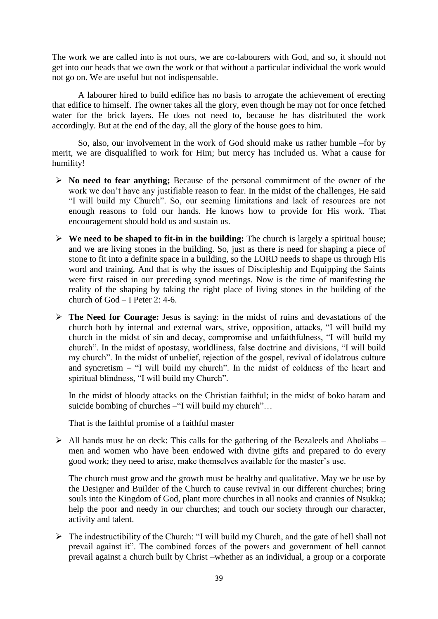The work we are called into is not ours, we are co-labourers with God, and so, it should not get into our heads that we own the work or that without a particular individual the work would not go on. We are useful but not indispensable.

A labourer hired to build edifice has no basis to arrogate the achievement of erecting that edifice to himself. The owner takes all the glory, even though he may not for once fetched water for the brick layers. He does not need to, because he has distributed the work accordingly. But at the end of the day, all the glory of the house goes to him.

So, also, our involvement in the work of God should make us rather humble –for by merit, we are disqualified to work for Him; but mercy has included us. What a cause for humility!

- **No need to fear anything;** Because of the personal commitment of the owner of the work we don't have any justifiable reason to fear. In the midst of the challenges, He said "I will build my Church". So, our seeming limitations and lack of resources are not enough reasons to fold our hands. He knows how to provide for His work. That encouragement should hold us and sustain us.
- **We need to be shaped to fit-in in the building:** The church is largely a spiritual house; and we are living stones in the building. So, just as there is need for shaping a piece of stone to fit into a definite space in a building, so the LORD needs to shape us through His word and training. And that is why the issues of Discipleship and Equipping the Saints were first raised in our preceding synod meetings. Now is the time of manifesting the reality of the shaping by taking the right place of living stones in the building of the church of God – I Peter 2: 4-6.
- **The Need for Courage:** Jesus is saying: in the midst of ruins and devastations of the church both by internal and external wars, strive, opposition, attacks, "I will build my church in the midst of sin and decay, compromise and unfaithfulness, "I will build my church". In the midst of apostasy, worldliness, false doctrine and divisions, "I will build my church". In the midst of unbelief, rejection of the gospel, revival of idolatrous culture and syncretism – "I will build my church". In the midst of coldness of the heart and spiritual blindness, "I will build my Church".

In the midst of bloody attacks on the Christian faithful; in the midst of boko haram and suicide bombing of churches –"I will build my church"…

That is the faithful promise of a faithful master

 $\triangleright$  All hands must be on deck: This calls for the gathering of the Bezaleels and Aholiabs – men and women who have been endowed with divine gifts and prepared to do every good work; they need to arise, make themselves available for the master"s use.

The church must grow and the growth must be healthy and qualitative. May we be use by the Designer and Builder of the Church to cause revival in our different churches; bring souls into the Kingdom of God, plant more churches in all nooks and crannies of Nsukka; help the poor and needy in our churches; and touch our society through our character, activity and talent.

 $\triangleright$  The indestructibility of the Church: "I will build my Church, and the gate of hell shall not prevail against it". The combined forces of the powers and government of hell cannot prevail against a church built by Christ –whether as an individual, a group or a corporate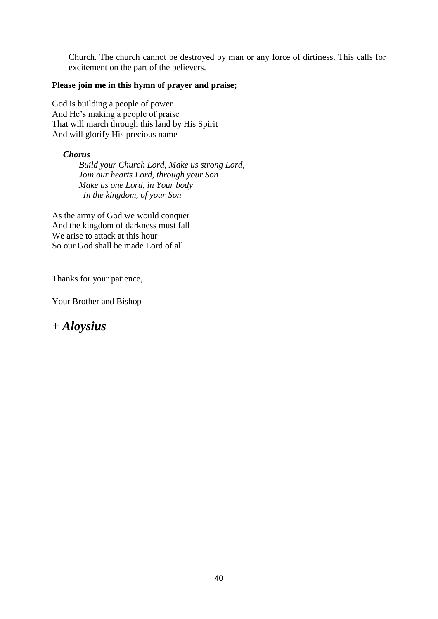Church. The church cannot be destroyed by man or any force of dirtiness. This calls for excitement on the part of the believers.

### **Please join me in this hymn of prayer and praise;**

God is building a people of power And He"s making a people of praise That will march through this land by His Spirit And will glorify His precious name

*Chorus*

 *Build your Church Lord, Make us strong Lord, Join our hearts Lord, through your Son Make us one Lord, in Your body In the kingdom, of your Son*

As the army of God we would conquer And the kingdom of darkness must fall We arise to attack at this hour So our God shall be made Lord of all

Thanks for your patience,

Your Brother and Bishop

## *+ Aloysius*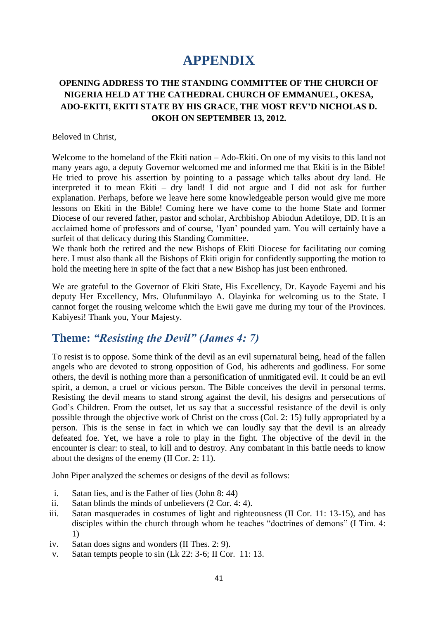# **APPENDIX**

## **OPENING ADDRESS TO THE STANDING COMMITTEE OF THE CHURCH OF NIGERIA HELD AT THE CATHEDRAL CHURCH OF EMMANUEL, OKESA, ADO-EKITI, EKITI STATE BY HIS GRACE, THE MOST REV'D NICHOLAS D. OKOH ON SEPTEMBER 13, 2012.**

#### Beloved in Christ,

Welcome to the homeland of the Ekiti nation – Ado-Ekiti. On one of my visits to this land not many years ago, a deputy Governor welcomed me and informed me that Ekiti is in the Bible! He tried to prove his assertion by pointing to a passage which talks about dry land. He interpreted it to mean Ekiti – dry land! I did not argue and I did not ask for further explanation. Perhaps, before we leave here some knowledgeable person would give me more lessons on Ekiti in the Bible! Coming here we have come to the home State and former Diocese of our revered father, pastor and scholar, Archbishop Abiodun Adetiloye, DD. It is an acclaimed home of professors and of course, "Iyan" pounded yam. You will certainly have a surfeit of that delicacy during this Standing Committee.

We thank both the retired and the new Bishops of Ekiti Diocese for facilitating our coming here. I must also thank all the Bishops of Ekiti origin for confidently supporting the motion to hold the meeting here in spite of the fact that a new Bishop has just been enthroned.

We are grateful to the Governor of Ekiti State, His Excellency, Dr. Kayode Fayemi and his deputy Her Excellency, Mrs. Olufunmilayo A. Olayinka for welcoming us to the State. I cannot forget the rousing welcome which the Ewii gave me during my tour of the Provinces. Kabiyesi! Thank you, Your Majesty.

## **Theme:** *"Resisting the Devil" (James 4: 7)*

To resist is to oppose. Some think of the devil as an evil supernatural being, head of the fallen angels who are devoted to strong opposition of God, his adherents and godliness. For some others, the devil is nothing more than a personification of unmitigated evil. It could be an evil spirit, a demon, a cruel or vicious person. The Bible conceives the devil in personal terms. Resisting the devil means to stand strong against the devil, his designs and persecutions of God's Children. From the outset, let us say that a successful resistance of the devil is only possible through the objective work of Christ on the cross (Col. 2: 15) fully appropriated by a person. This is the sense in fact in which we can loudly say that the devil is an already defeated foe. Yet, we have a role to play in the fight. The objective of the devil in the encounter is clear: to steal, to kill and to destroy. Any combatant in this battle needs to know about the designs of the enemy (II Cor. 2: 11).

John Piper analyzed the schemes or designs of the devil as follows:

- i. Satan lies, and is the Father of lies (John 8: 44)
- ii. Satan blinds the minds of unbelievers (2 Cor. 4: 4).
- iii. Satan masquerades in costumes of light and righteousness (II Cor. 11: 13-15), and has disciples within the church through whom he teaches "doctrines of demons" (I Tim. 4: 1)
- iv. Satan does signs and wonders (II Thes. 2: 9).
- v. Satan tempts people to sin (Lk 22: 3-6; II Cor. 11: 13.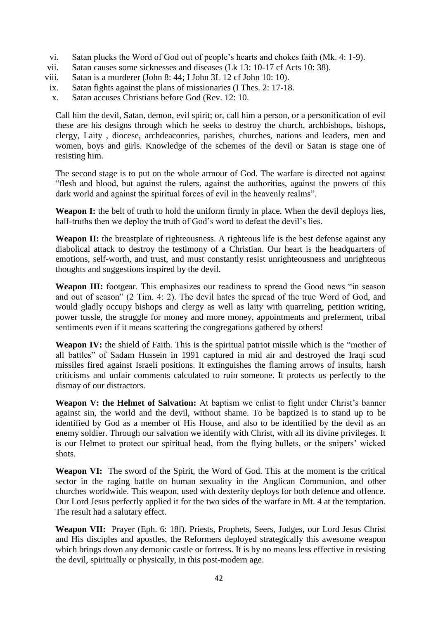- vi. Satan plucks the Word of God out of people"s hearts and chokes faith (Mk. 4: 1-9).
- vii. Satan causes some sicknesses and diseases (Lk 13: 10-17 cf Acts 10: 38).
- viii. Satan is a murderer (John 8: 44; I John 3L 12 cf John 10: 10).
- ix. Satan fights against the plans of missionaries (I Thes. 2: 17-18.
- x. Satan accuses Christians before God (Rev. 12: 10.

Call him the devil, Satan, demon, evil spirit; or, call him a person, or a personification of evil these are his designs through which he seeks to destroy the church, archbishops, bishops, clergy, Laity , diocese, archdeaconries, parishes, churches, nations and leaders, men and women, boys and girls. Knowledge of the schemes of the devil or Satan is stage one of resisting him.

The second stage is to put on the whole armour of God. The warfare is directed not against "flesh and blood, but against the rulers, against the authorities, against the powers of this dark world and against the spiritual forces of evil in the heavenly realms".

Weapon I: the belt of truth to hold the uniform firmly in place. When the devil deploys lies, half-truths then we deploy the truth of God's word to defeat the devil's lies.

Weapon II: the breastplate of righteousness. A righteous life is the best defense against any diabolical attack to destroy the testimony of a Christian. Our heart is the headquarters of emotions, self-worth, and trust, and must constantly resist unrighteousness and unrighteous thoughts and suggestions inspired by the devil.

Weapon III: footgear. This emphasizes our readiness to spread the Good news "in season and out of season" (2 Tim. 4: 2). The devil hates the spread of the true Word of God, and would gladly occupy bishops and clergy as well as laity with quarreling, petition writing, power tussle, the struggle for money and more money, appointments and preferment, tribal sentiments even if it means scattering the congregations gathered by others!

**Weapon IV:** the shield of Faith. This is the spiritual patriot missile which is the "mother of all battles" of Sadam Hussein in 1991 captured in mid air and destroyed the Iraqi scud missiles fired against Israeli positions. It extinguishes the flaming arrows of insults, harsh criticisms and unfair comments calculated to ruin someone. It protects us perfectly to the dismay of our distractors.

Weapon V: the Helmet of Salvation: At baptism we enlist to fight under Christ's banner against sin, the world and the devil, without shame. To be baptized is to stand up to be identified by God as a member of His House, and also to be identified by the devil as an enemy soldier. Through our salvation we identify with Christ, with all its divine privileges. It is our Helmet to protect our spiritual head, from the flying bullets, or the snipers' wicked shots.

**Weapon VI:** The sword of the Spirit, the Word of God. This at the moment is the critical sector in the raging battle on human sexuality in the Anglican Communion, and other churches worldwide. This weapon, used with dexterity deploys for both defence and offence. Our Lord Jesus perfectly applied it for the two sides of the warfare in Mt. 4 at the temptation. The result had a salutary effect.

**Weapon VII:** Prayer (Eph. 6: 18f). Priests, Prophets, Seers, Judges, our Lord Jesus Christ and His disciples and apostles, the Reformers deployed strategically this awesome weapon which brings down any demonic castle or fortress. It is by no means less effective in resisting the devil, spiritually or physically, in this post-modern age.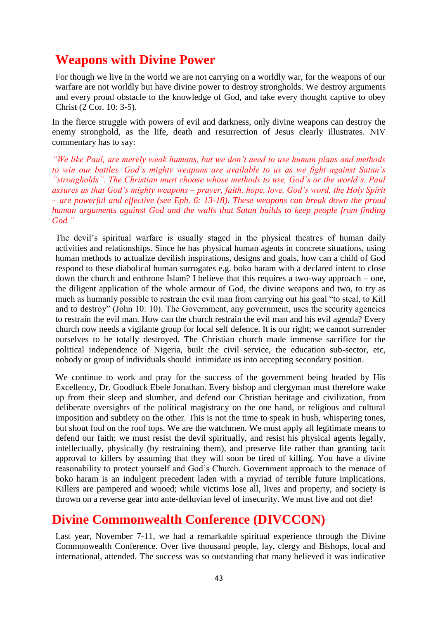## **Weapons with Divine Power**

For though we live in the world we are not carrying on a worldly war, for the weapons of our warfare are not worldly but have divine power to destroy strongholds. We destroy arguments and every proud obstacle to the knowledge of God, and take every thought captive to obey Christ (2 Cor. 10: 3-5).

In the fierce struggle with powers of evil and darkness, only divine weapons can destroy the enemy stronghold, as the life, death and resurrection of Jesus clearly illustrates. NIV commentary has to say:

*"We like Paul, are merely weak humans, but we don't need to use human plans and methods to win our battles. God's mighty weapons are available to us as we fight against Satan's "strongholds". The Christian must choose whose methods to use, God's or the world's. Paul assures us that God's mighty weapons – prayer, faith, hope, love, God's word, the Holy Spirit – are powerful and effective (see Eph. 6: 13-18). These weapons can break down the proud human arguments against God and the walls that Satan builds to keep people from finding God."*

The devil"s spiritual warfare is usually staged in the physical theatres of human daily activities and relationships. Since he has physical human agents in concrete situations, using human methods to actualize devilish inspirations, designs and goals, how can a child of God respond to these diabolical human surrogates e.g. boko haram with a declared intent to close down the church and enthrone Islam? I believe that this requires a two-way approach – one, the diligent application of the whole armour of God, the divine weapons and two, to try as much as humanly possible to restrain the evil man from carrying out his goal "to steal, to Kill and to destroy" (John 10: 10). The Government, any government, uses the security agencies to restrain the evil man. How can the church restrain the evil man and his evil agenda? Every church now needs a vigilante group for local self defence. It is our right; we cannot surrender ourselves to be totally destroyed. The Christian church made immense sacrifice for the political independence of Nigeria, built the civil service, the education sub-sector, etc, nobody or group of individuals should intimidate us into accepting secondary position.

We continue to work and pray for the success of the government being headed by His Excellency, Dr. Goodluck Ebele Jonathan. Every bishop and clergyman must therefore wake up from their sleep and slumber, and defend our Christian heritage and civilization, from deliberate oversights of the political magistracy on the one hand, or religious and cultural imposition and subtlety on the other. This is not the time to speak in hush, whispering tones, but shout foul on the roof tops. We are the watchmen. We must apply all legitimate means to defend our faith; we must resist the devil spiritually, and resist his physical agents legally, intellectually, physically (by restraining them), and preserve life rather than granting tacit approval to killers by assuming that they will soon be tired of killing. You have a divine reasonability to protect yourself and God"s Church. Government approach to the menace of boko haram is an indulgent precedent laden with a myriad of terrible future implications. Killers are pampered and wooed; while victims lose all, lives and property, and society is thrown on a reverse gear into ante-delluvian level of insecurity. We must live and not die!

## **Divine Commonwealth Conference (DIVCCON)**

Last year, November 7-11, we had a remarkable spiritual experience through the Divine Commonwealth Conference. Over five thousand people, lay, clergy and Bishops, local and international, attended. The success was so outstanding that many believed it was indicative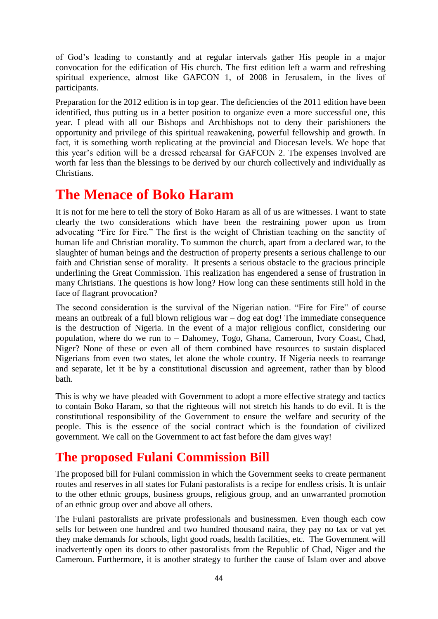of God"s leading to constantly and at regular intervals gather His people in a major convocation for the edification of His church. The first edition left a warm and refreshing spiritual experience, almost like GAFCON 1, of 2008 in Jerusalem, in the lives of participants.

Preparation for the 2012 edition is in top gear. The deficiencies of the 2011 edition have been identified, thus putting us in a better position to organize even a more successful one, this year. I plead with all our Bishops and Archbishops not to deny their parishioners the opportunity and privilege of this spiritual reawakening, powerful fellowship and growth. In fact, it is something worth replicating at the provincial and Diocesan levels. We hope that this year's edition will be a dressed rehearsal for GAFCON 2. The expenses involved are worth far less than the blessings to be derived by our church collectively and individually as Christians.

# **The Menace of Boko Haram**

It is not for me here to tell the story of Boko Haram as all of us are witnesses. I want to state clearly the two considerations which have been the restraining power upon us from advocating "Fire for Fire." The first is the weight of Christian teaching on the sanctity of human life and Christian morality. To summon the church, apart from a declared war, to the slaughter of human beings and the destruction of property presents a serious challenge to our faith and Christian sense of morality. It presents a serious obstacle to the gracious principle underlining the Great Commission. This realization has engendered a sense of frustration in many Christians. The questions is how long? How long can these sentiments still hold in the face of flagrant provocation?

The second consideration is the survival of the Nigerian nation. "Fire for Fire" of course means an outbreak of a full blown religious war – dog eat dog! The immediate consequence is the destruction of Nigeria. In the event of a major religious conflict, considering our population, where do we run to – Dahomey, Togo, Ghana, Cameroun, Ivory Coast, Chad, Niger? None of these or even all of them combined have resources to sustain displaced Nigerians from even two states, let alone the whole country. If Nigeria needs to rearrange and separate, let it be by a constitutional discussion and agreement, rather than by blood bath.

This is why we have pleaded with Government to adopt a more effective strategy and tactics to contain Boko Haram, so that the righteous will not stretch his hands to do evil. It is the constitutional responsibility of the Government to ensure the welfare and security of the people. This is the essence of the social contract which is the foundation of civilized government. We call on the Government to act fast before the dam gives way!

# **The proposed Fulani Commission Bill**

The proposed bill for Fulani commission in which the Government seeks to create permanent routes and reserves in all states for Fulani pastoralists is a recipe for endless crisis. It is unfair to the other ethnic groups, business groups, religious group, and an unwarranted promotion of an ethnic group over and above all others.

The Fulani pastoralists are private professionals and businessmen. Even though each cow sells for between one hundred and two hundred thousand naira, they pay no tax or vat yet they make demands for schools, light good roads, health facilities, etc. The Government will inadvertently open its doors to other pastoralists from the Republic of Chad, Niger and the Cameroun. Furthermore, it is another strategy to further the cause of Islam over and above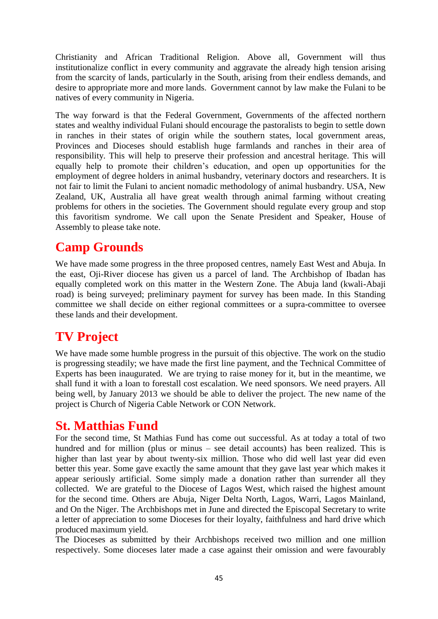Christianity and African Traditional Religion. Above all, Government will thus institutionalize conflict in every community and aggravate the already high tension arising from the scarcity of lands, particularly in the South, arising from their endless demands, and desire to appropriate more and more lands. Government cannot by law make the Fulani to be natives of every community in Nigeria.

The way forward is that the Federal Government, Governments of the affected northern states and wealthy individual Fulani should encourage the pastoralists to begin to settle down in ranches in their states of origin while the southern states, local government areas, Provinces and Dioceses should establish huge farmlands and ranches in their area of responsibility. This will help to preserve their profession and ancestral heritage. This will equally help to promote their children"s education, and open up opportunities for the employment of degree holders in animal husbandry, veterinary doctors and researchers. It is not fair to limit the Fulani to ancient nomadic methodology of animal husbandry. USA, New Zealand, UK, Australia all have great wealth through animal farming without creating problems for others in the societies. The Government should regulate every group and stop this favoritism syndrome. We call upon the Senate President and Speaker, House of Assembly to please take note.

## **Camp Grounds**

We have made some progress in the three proposed centres, namely East West and Abuja. In the east, Oji-River diocese has given us a parcel of land. The Archbishop of Ibadan has equally completed work on this matter in the Western Zone. The Abuja land (kwali-Abaji road) is being surveyed; preliminary payment for survey has been made. In this Standing committee we shall decide on either regional committees or a supra-committee to oversee these lands and their development.

# **TV Project**

We have made some humble progress in the pursuit of this objective. The work on the studio is progressing steadily; we have made the first line payment, and the Technical Committee of Experts has been inaugurated. We are trying to raise money for it, but in the meantime, we shall fund it with a loan to forestall cost escalation. We need sponsors. We need prayers. All being well, by January 2013 we should be able to deliver the project. The new name of the project is Church of Nigeria Cable Network or CON Network.

## **St. Matthias Fund**

For the second time, St Mathias Fund has come out successful. As at today a total of two hundred and for million (plus or minus – see detail accounts) has been realized. This is higher than last year by about twenty-six million. Those who did well last year did even better this year. Some gave exactly the same amount that they gave last year which makes it appear seriously artificial. Some simply made a donation rather than surrender all they collected. We are grateful to the Diocese of Lagos West, which raised the highest amount for the second time. Others are Abuja, Niger Delta North, Lagos, Warri, Lagos Mainland, and On the Niger. The Archbishops met in June and directed the Episcopal Secretary to write a letter of appreciation to some Dioceses for their loyalty, faithfulness and hard drive which produced maximum yield.

The Dioceses as submitted by their Archbishops received two million and one million respectively. Some dioceses later made a case against their omission and were favourably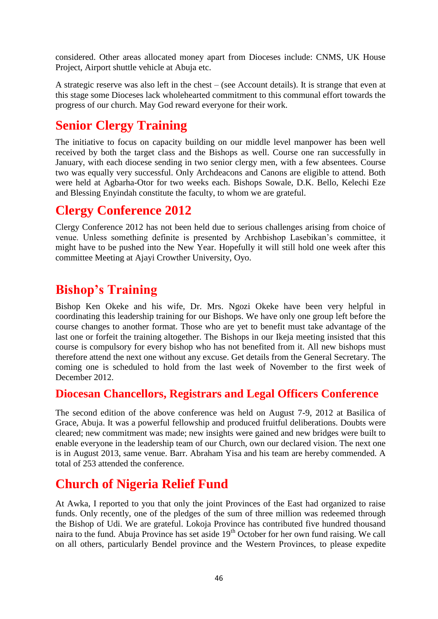considered. Other areas allocated money apart from Dioceses include: CNMS, UK House Project, Airport shuttle vehicle at Abuja etc.

A strategic reserve was also left in the chest – (see Account details). It is strange that even at this stage some Dioceses lack wholehearted commitment to this communal effort towards the progress of our church. May God reward everyone for their work.

# **Senior Clergy Training**

The initiative to focus on capacity building on our middle level manpower has been well received by both the target class and the Bishops as well. Course one ran successfully in January, with each diocese sending in two senior clergy men, with a few absentees. Course two was equally very successful. Only Archdeacons and Canons are eligible to attend. Both were held at Agbarha-Otor for two weeks each. Bishops Sowale, D.K. Bello, Kelechi Eze and Blessing Enyindah constitute the faculty, to whom we are grateful.

# **Clergy Conference 2012**

Clergy Conference 2012 has not been held due to serious challenges arising from choice of venue. Unless something definite is presented by Archbishop Lasebikan"s committee, it might have to be pushed into the New Year. Hopefully it will still hold one week after this committee Meeting at Ajayi Crowther University, Oyo.

# **Bishop's Training**

Bishop Ken Okeke and his wife, Dr. Mrs. Ngozi Okeke have been very helpful in coordinating this leadership training for our Bishops. We have only one group left before the course changes to another format. Those who are yet to benefit must take advantage of the last one or forfeit the training altogether. The Bishops in our Ikeja meeting insisted that this course is compulsory for every bishop who has not benefited from it. All new bishops must therefore attend the next one without any excuse. Get details from the General Secretary. The coming one is scheduled to hold from the last week of November to the first week of December 2012.

## **Diocesan Chancellors, Registrars and Legal Officers Conference**

The second edition of the above conference was held on August 7-9, 2012 at Basilica of Grace, Abuja. It was a powerful fellowship and produced fruitful deliberations. Doubts were cleared; new commitment was made; new insights were gained and new bridges were built to enable everyone in the leadership team of our Church, own our declared vision. The next one is in August 2013, same venue. Barr. Abraham Yisa and his team are hereby commended. A total of 253 attended the conference.

## **Church of Nigeria Relief Fund**

At Awka, I reported to you that only the joint Provinces of the East had organized to raise funds. Only recently, one of the pledges of the sum of three million was redeemed through the Bishop of Udi. We are grateful. Lokoja Province has contributed five hundred thousand naira to the fund. Abuja Province has set aside 19<sup>th</sup> October for her own fund raising. We call on all others, particularly Bendel province and the Western Provinces, to please expedite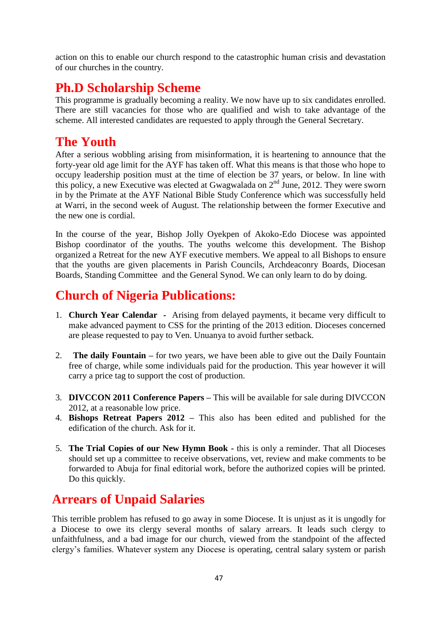action on this to enable our church respond to the catastrophic human crisis and devastation of our churches in the country.

# **Ph.D Scholarship Scheme**

This programme is gradually becoming a reality. We now have up to six candidates enrolled. There are still vacancies for those who are qualified and wish to take advantage of the scheme. All interested candidates are requested to apply through the General Secretary.

## **The Youth**

After a serious wobbling arising from misinformation, it is heartening to announce that the forty-year old age limit for the AYF has taken off. What this means is that those who hope to occupy leadership position must at the time of election be 37 years, or below. In line with this policy, a new Executive was elected at Gwagwalada on  $2<sup>nd</sup>$  June, 2012. They were sworn in by the Primate at the AYF National Bible Study Conference which was successfully held at Warri, in the second week of August. The relationship between the former Executive and the new one is cordial.

In the course of the year, Bishop Jolly Oyekpen of Akoko-Edo Diocese was appointed Bishop coordinator of the youths. The youths welcome this development. The Bishop organized a Retreat for the new AYF executive members. We appeal to all Bishops to ensure that the youths are given placements in Parish Councils, Archdeaconry Boards, Diocesan Boards, Standing Committee and the General Synod. We can only learn to do by doing.

## **Church of Nigeria Publications:**

- 1. **Church Year Calendar -** Arising from delayed payments, it became very difficult to make advanced payment to CSS for the printing of the 2013 edition. Dioceses concerned are please requested to pay to Ven. Unuanya to avoid further setback.
- 2. **The daily Fountain –** for two years, we have been able to give out the Daily Fountain free of charge, while some individuals paid for the production. This year however it will carry a price tag to support the cost of production.
- 3. **DIVCCON 2011 Conference Papers –** This will be available for sale during DIVCCON 2012, at a reasonable low price.
- 4. **Bishops Retreat Papers 2012 –** This also has been edited and published for the edification of the church. Ask for it.
- 5. **The Trial Copies of our New Hymn Book -** this is only a reminder. That all Dioceses should set up a committee to receive observations, vet, review and make comments to be forwarded to Abuja for final editorial work, before the authorized copies will be printed. Do this quickly.

# **Arrears of Unpaid Salaries**

This terrible problem has refused to go away in some Diocese. It is unjust as it is ungodly for a Diocese to owe its clergy several months of salary arrears. It leads such clergy to unfaithfulness, and a bad image for our church, viewed from the standpoint of the affected clergy"s families. Whatever system any Diocese is operating, central salary system or parish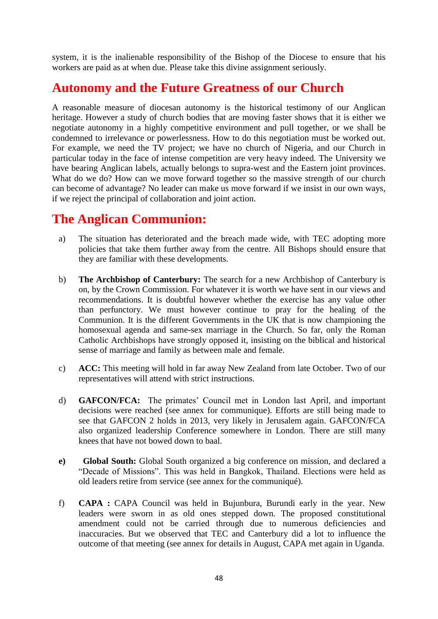system, it is the inalienable responsibility of the Bishop of the Diocese to ensure that his workers are paid as at when due. Please take this divine assignment seriously.

## **Autonomy and the Future Greatness of our Church**

A reasonable measure of diocesan autonomy is the historical testimony of our Anglican heritage. However a study of church bodies that are moving faster shows that it is either we negotiate autonomy in a highly competitive environment and pull together, or we shall be condemned to irrelevance or powerlessness. How to do this negotiation must be worked out. For example, we need the TV project; we have no church of Nigeria, and our Church in particular today in the face of intense competition are very heavy indeed. The University we have bearing Anglican labels, actually belongs to supra-west and the Eastern joint provinces. What do we do? How can we move forward together so the massive strength of our church can become of advantage? No leader can make us move forward if we insist in our own ways, if we reject the principal of collaboration and joint action.

## **The Anglican Communion:**

- a) The situation has deteriorated and the breach made wide, with TEC adopting more policies that take them further away from the centre. All Bishops should ensure that they are familiar with these developments.
- b) **The Archbishop of Canterbury:** The search for a new Archbishop of Canterbury is on, by the Crown Commission. For whatever it is worth we have sent in our views and recommendations. It is doubtful however whether the exercise has any value other than perfunctory. We must however continue to pray for the healing of the Communion. It is the different Governments in the UK that is now championing the homosexual agenda and same-sex marriage in the Church. So far, only the Roman Catholic Archbishops have strongly opposed it, insisting on the biblical and historical sense of marriage and family as between male and female.
- c) **ACC:** This meeting will hold in far away New Zealand from late October. Two of our representatives will attend with strict instructions.
- d) **GAFCON/FCA:** The primates" Council met in London last April, and important decisions were reached (see annex for communique). Efforts are still being made to see that GAFCON 2 holds in 2013, very likely in Jerusalem again. GAFCON/FCA also organized leadership Conference somewhere in London. There are still many knees that have not bowed down to baal.
- **e) Global South:** Global South organized a big conference on mission, and declared a "Decade of Missions". This was held in Bangkok, Thailand. Elections were held as old leaders retire from service (see annex for the communiqué).
- f) **CAPA :** CAPA Council was held in Bujunbura, Burundi early in the year. New leaders were sworn in as old ones stepped down. The proposed constitutional amendment could not be carried through due to numerous deficiencies and inaccuracies. But we observed that TEC and Canterbury did a lot to influence the outcome of that meeting (see annex for details in August, CAPA met again in Uganda.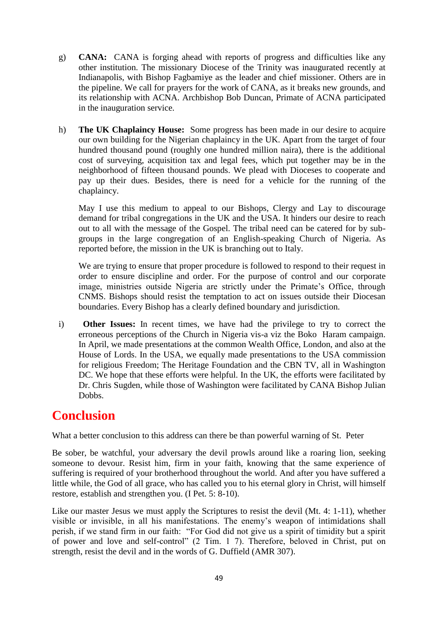- g) **CANA:** CANA is forging ahead with reports of progress and difficulties like any other institution. The missionary Diocese of the Trinity was inaugurated recently at Indianapolis, with Bishop Fagbamiye as the leader and chief missioner. Others are in the pipeline. We call for prayers for the work of CANA, as it breaks new grounds, and its relationship with ACNA. Archbishop Bob Duncan, Primate of ACNA participated in the inauguration service.
- h) **The UK Chaplaincy House:** Some progress has been made in our desire to acquire our own building for the Nigerian chaplaincy in the UK. Apart from the target of four hundred thousand pound (roughly one hundred million naira), there is the additional cost of surveying, acquisition tax and legal fees, which put together may be in the neighborhood of fifteen thousand pounds. We plead with Dioceses to cooperate and pay up their dues. Besides, there is need for a vehicle for the running of the chaplaincy.

May I use this medium to appeal to our Bishops, Clergy and Lay to discourage demand for tribal congregations in the UK and the USA. It hinders our desire to reach out to all with the message of the Gospel. The tribal need can be catered for by subgroups in the large congregation of an English-speaking Church of Nigeria. As reported before, the mission in the UK is branching out to Italy.

We are trying to ensure that proper procedure is followed to respond to their request in order to ensure discipline and order. For the purpose of control and our corporate image, ministries outside Nigeria are strictly under the Primate's Office, through CNMS. Bishops should resist the temptation to act on issues outside their Diocesan boundaries. Every Bishop has a clearly defined boundary and jurisdiction.

i) **Other Issues:** In recent times, we have had the privilege to try to correct the erroneous perceptions of the Church in Nigeria vis-a viz the Boko Haram campaign. In April, we made presentations at the common Wealth Office, London, and also at the House of Lords. In the USA, we equally made presentations to the USA commission for religious Freedom; The Heritage Foundation and the CBN TV, all in Washington DC. We hope that these efforts were helpful. In the UK, the efforts were facilitated by Dr. Chris Sugden, while those of Washington were facilitated by CANA Bishop Julian Dobbs.

## **Conclusion**

What a better conclusion to this address can there be than powerful warning of St. Peter

Be sober, be watchful, your adversary the devil prowls around like a roaring lion, seeking someone to devour. Resist him, firm in your faith, knowing that the same experience of suffering is required of your brotherhood throughout the world. And after you have suffered a little while, the God of all grace, who has called you to his eternal glory in Christ, will himself restore, establish and strengthen you. (I Pet. 5: 8-10).

Like our master Jesus we must apply the Scriptures to resist the devil (Mt. 4: 1-11), whether visible or invisible, in all his manifestations. The enemy"s weapon of intimidations shall perish, if we stand firm in our faith: "For God did not give us a spirit of timidity but a spirit of power and love and self-control" (2 Tim. 1 7). Therefore, beloved in Christ, put on strength, resist the devil and in the words of G. Duffield (AMR 307).